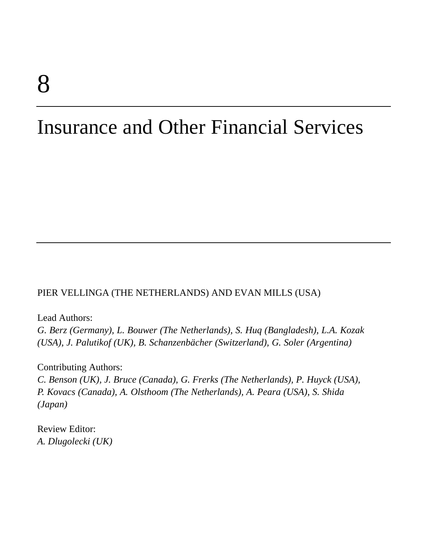# Insurance and Other Financial Services

# PIER VELLINGA (THE NETHERLANDS) AND EVAN MILLS (USA)

Lead Authors:

*G. Berz (Germany), L. Bouwer (The Netherlands), S. Huq (Bangladesh), L.A. Kozak (USA), J. Palutikof (UK), B. Schanzenbächer (Switzerland), G. Soler (Argentina)*

Contributing Authors:

*C. Benson (UK), J. Bruce (Canada), G. Frerks (The Netherlands), P. Huyck (USA), P. Kovacs (Canada), A. Olsthoom (The Netherlands), A. Peara (USA), S. Shida (Japan)*

Review Editor: *A. Dlugolecki (UK)*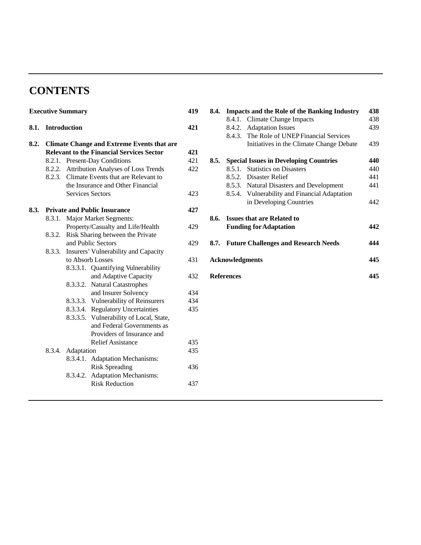# **CONTENTS**

|      |                     | <b>Executive Summary</b>                                                                              |                                            | 419 |  |  |
|------|---------------------|-------------------------------------------------------------------------------------------------------|--------------------------------------------|-----|--|--|
| 8.1. | <b>Introduction</b> |                                                                                                       |                                            |     |  |  |
| 8.2. |                     | <b>Climate Change and Extreme Events that are</b><br><b>Relevant to the Financial Services Sector</b> |                                            |     |  |  |
|      | 8.2.1.              |                                                                                                       | <b>Present-Day Conditions</b>              | 421 |  |  |
|      |                     |                                                                                                       | 8.2.2. Attribution Analyses of Loss Trends | 422 |  |  |
|      |                     |                                                                                                       | 8.2.3. Climate Events that are Relevant to |     |  |  |
|      |                     |                                                                                                       | the Insurance and Other Financial          |     |  |  |
|      |                     |                                                                                                       | <b>Services Sectors</b>                    | 423 |  |  |
| 8.3. |                     |                                                                                                       | <b>Private and Public Insurance</b>        | 427 |  |  |
|      | 8.3.1.              |                                                                                                       | <b>Major Market Segments:</b>              |     |  |  |
|      |                     |                                                                                                       | Property/Casualty and Life/Health          | 429 |  |  |
|      | 8.3.2.              |                                                                                                       | Risk Sharing between the Private           |     |  |  |
|      |                     | and Public Sectors                                                                                    | 429                                        |     |  |  |
|      | 8.3.3.              | Insurers' Vulnerability and Capacity                                                                  |                                            |     |  |  |
|      |                     |                                                                                                       | to Absorb Losses                           | 431 |  |  |
|      |                     |                                                                                                       | 8.3.3.1. Quantifying Vulnerability         |     |  |  |
|      |                     |                                                                                                       | and Adaptive Capacity                      | 432 |  |  |
|      |                     |                                                                                                       | 8.3.3.2. Natural Catastrophes              |     |  |  |
|      |                     |                                                                                                       | and Insurer Solvency                       | 434 |  |  |
|      |                     |                                                                                                       | 8.3.3.3. Vulnerability of Reinsurers       | 434 |  |  |
|      |                     |                                                                                                       | 8.3.3.4. Regulatory Uncertainties          | 435 |  |  |
|      |                     |                                                                                                       | 8.3.3.5. Vulnerability of Local, State,    |     |  |  |
|      |                     |                                                                                                       | and Federal Governments as                 |     |  |  |
|      |                     |                                                                                                       | Providers of Insurance and                 |     |  |  |
|      |                     |                                                                                                       | <b>Relief Assistance</b>                   | 435 |  |  |
|      | 8.3.4.              | Adaptation                                                                                            |                                            | 435 |  |  |
|      |                     | 8.3.4.1.                                                                                              | <b>Adaptation Mechanisms:</b>              |     |  |  |
|      |                     |                                                                                                       | <b>Risk Spreading</b>                      | 436 |  |  |
|      |                     |                                                                                                       | 8.3.4.2. Adaptation Mechanisms:            |     |  |  |
|      |                     |                                                                                                       | <b>Risk Reduction</b>                      | 437 |  |  |
|      |                     |                                                                                                       |                                            |     |  |  |

| 8.4. |                                                                    | <b>Impacts and the Role of the Banking Industry</b> | 438 |
|------|--------------------------------------------------------------------|-----------------------------------------------------|-----|
|      | 8.4.1.                                                             | <b>Climate Change Impacts</b>                       | 438 |
|      | 8.4.2. Adaptation Issues                                           |                                                     | 439 |
|      |                                                                    | 8.4.3. The Role of UNEP Financial Services          |     |
|      |                                                                    | Initiatives in the Climate Change Debate            | 439 |
| 8.5. |                                                                    | <b>Special Issues in Developing Countries</b>       | 440 |
|      |                                                                    | 8.5.1. Statistics on Disasters                      | 440 |
|      | 8.5.2. Disaster Relief                                             |                                                     | 441 |
|      |                                                                    | 8.5.3. Natural Disasters and Development            | 441 |
|      |                                                                    | 8.5.4. Vulnerability and Financial Adaptation       |     |
|      |                                                                    | in Developing Countries                             | 442 |
| 8.6. | <b>Issues that are Related to</b><br><b>Funding for Adaptation</b> |                                                     | 442 |
| 8.7. |                                                                    | <b>Future Challenges and Research Needs</b>         | 444 |
|      | <b>Acknowledgments</b>                                             |                                                     | 445 |
|      |                                                                    |                                                     |     |
|      | <b>References</b>                                                  |                                                     | 445 |
|      |                                                                    |                                                     |     |
|      |                                                                    |                                                     |     |
|      |                                                                    |                                                     |     |
|      |                                                                    |                                                     |     |
|      |                                                                    |                                                     |     |
|      |                                                                    |                                                     |     |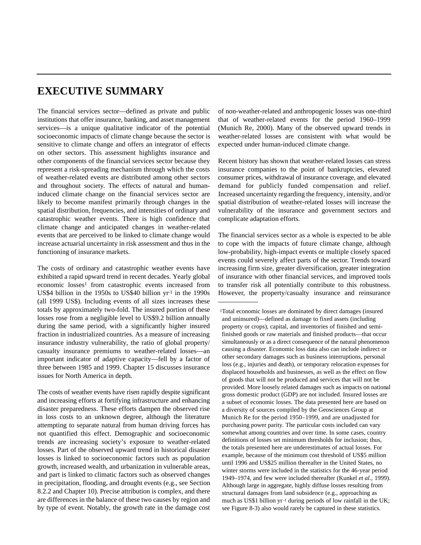# **EXECUTIVE SUMMARY**

The financial services sector—defined as private and public institutions that offer insurance, banking, and asset management services—is a unique qualitative indicator of the potential socioeconomic impacts of climate change because the sector is sensitive to climate change and offers an integrator of effects on other sectors. This assessment highlights insurance and other components of the financial services sector because they represent a risk-spreading mechanism through which the costs of weather-related events are distributed among other sectors and throughout society. The effects of natural and humaninduced climate change on the financial services sector are likely to become manifest primarily through changes in the spatial distribution, frequencies, and intensities of ordinary and catastrophic weather events. There is high confidence that climate change and anticipated changes in weather-related events that are perceived to be linked to climate change would increase actuarial uncertainty in risk assessment and thus in the functioning of insurance markets.

The costs of ordinary and catastrophic weather events have exhibited a rapid upward trend in recent decades. Yearly global economic losses<sup>1</sup> from catastrophic events increased from US\$4 billion in the 1950s to US\$40 billion  $yr<sup>-1</sup>$  in the 1990s (all 1999 US\$). Including events of all sizes increases these totals by approximately two-fold. The insured portion of these losses rose from a negligible level to US\$9.2 billion annually during the same period, with a significantly higher insured fraction in industrialized countries. As a measure of increasing insurance industry vulnerability, the ratio of global property/ casualty insurance premiums to weather-related losses—an important indicator of adaptive capacity—fell by a factor of three between 1985 and 1999. Chapter 15 discusses insurance issues for North America in depth.

The costs of weather events have risen rapidly despite significant and increasing efforts at fortifying infrastructure and enhancing disaster preparedness. These efforts dampen the observed rise in loss costs to an unknown degree, although the literature attempting to separate natural from human driving forces has not quantified this effect. Demographic and socioeconomic trends are increasing society's exposure to weather-related losses. Part of the observed upward trend in historical disaster losses is linked to socioeconomic factors such as population growth, increased wealth, and urbanization in vulnerable areas, and part is linked to climatic factors such as observed changes in precipitation, flooding, and drought events (e.g., see Section 8.2.2 and Chapter 10). Precise attribution is complex, and there are differences in the balance of these two causes by region and by type of event. Notably, the growth rate in the damage cost

of non-weather-related and anthropogenic losses was one-third that of weather-related events for the period 1960–1999 (Munich Re, 2000). Many of the observed upward trends in weather-related losses are consistent with what would be expected under human-induced climate change.

Recent history has shown that weather-related losses can stress insurance companies to the point of bankruptcies, elevated consumer prices, withdrawal of insurance coverage, and elevated demand for publicly funded compensation and relief. Increased uncertainty regarding the frequency, intensity, and/or spatial distribution of weather-related losses will increase the vulnerability of the insurance and government sectors and complicate adaptation efforts.

The financial services sector as a whole is expected to be able to cope with the impacts of future climate change, although low-probability, high-impact events or multiple closely spaced events could severely affect parts of the sector. Trends toward increasing firm size, greater diversification, greater integration of insurance with other financial services, and improved tools to transfer risk all potentially contribute to this robustness. However, the property/casualty insurance and reinsurance

<sup>1</sup>Total economic losses are dominated by direct damages (insured and uninsured)—defined as damage to fixed assets (including property or crops), capital, and inventories of finished and semifinished goods or raw materials and finished products—that occur simultaneously or as a direct consequence of the natural phenomenon causing a disaster. Economic loss data also can include indirect or other secondary damages such as business interruptions, personal loss (e.g., injuries and death), or temporary relocation expenses for displaced households and businesses, as well as the effect on flow of goods that will not be produced and services that will not be provided. More loosely related damages such as impacts on national gross domestic product (GDP) are not included. Insured losses are a subset of economic losses. The data presented here are based on a diversity of sources compiled by the Geosciences Group at Munich Re for the period 1950–1999, and are unadjusted for purchasing power parity. The particular costs included can vary somewhat among countries and over time. In some cases, country definitions of losses set minimum thresholds for inclusion; thus, the totals presented here are underestimates of actual losses. For example, because of the minimum cost threshold of US\$5 million until 1996 and US\$25 million thereafter in the United States, no winter storms were included in the statistics for the 46-year period 1949–1974, and few were included thereafter (Kunkel *et al.,* 1999). Although large in aggregate, highly diffuse losses resulting from structural damages from land subsidence (e.g., approaching as much as US\$1 billion yr<sup>-1</sup> during periods of low rainfall in the UK; see Figure 8-3) also would rarely be captured in these statistics.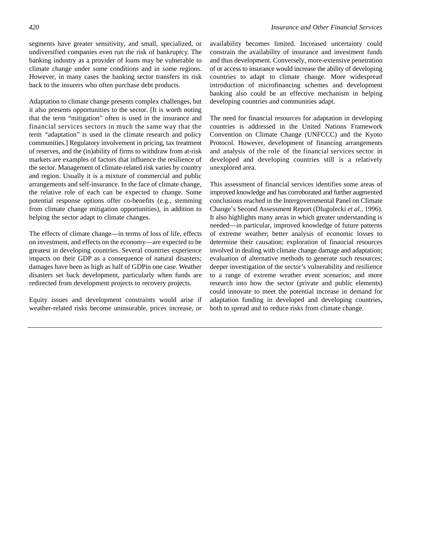segments have greater sensitivity, and small, specialized, or undiversified companies even run the risk of bankruptcy. The banking industry as a provider of loans may be vulnerable to climate change under some conditions and in some regions. However, in many cases the banking sector transfers its risk back to the insurers who often purchase debt products.

Adaptation to climate change presents complex challenges, but it also presents opportunities to the sector. [It is worth noting that the term "mitigation" often is used in the insurance and financial services sectors in much the same way that the term "adaptation" is used in the climate research and policy communities.] Regulatory involvement in pricing, tax treatment of reserves, and the (in)ability of firms to withdraw from at-risk markets are examples of factors that influence the resilience of the sector. Management of climate-related risk varies by country and region. Usually it is a mixture of commercial and public arrangements and self-insurance. In the face of climate change, the relative role of each can be expected to change. Some potential response options offer co-benefits (e.g., stemming from climate change mitigation opportunities), in addition to helping the sector adapt to climate changes.

The effects of climate change—in terms of loss of life, effects on investment, and effects on the economy—are expected to be greatest in developing countries. Several countries experience impacts on their GDP as a consequence of natural disasters; damages have been as high as half of GDPin one case. Weather disasters set back development, particularly when funds are redirected from development projects to recovery projects.

Equity issues and development constraints would arise if weather-related risks become uninsurable, prices increase, or availability becomes limited. Increased uncertainty could constrain the availability of insurance and investment funds and thus development. Conversely, more-extensive penetration of or access to insurance would increase the ability of developing countries to adapt to climate change. More widespread introduction of microfinancing schemes and development banking also could be an effective mechanism in helping developing countries and communities adapt.

The need for financial resources for adaptation in developing countries is addressed in the United Nations Framework Convention on Climate Change (UNFCCC) and the Kyoto Protocol. However, development of financing arrangements and analysis of the role of the financial services sector in developed and developing countries still is a relatively unexplored area.

This assessment of financial services identifies some areas of improved knowledge and has corroborated and further augmented conclusions reached in the Intergovernmental Panel on Climate Change's Second Assessment Report (Dlugolecki *et al.*, 1996). It also highlights many areas in which greater understanding is needed—in particular, improved knowledge of future patterns of extreme weather; better analysis of economic losses to determine their causation; exploration of financial resources involved in dealing with climate change damage and adaptation; evaluation of alternative methods to generate such resources; deeper investigation of the sector's vulnerability and resilience to a range of extreme weather event scenarios; and more research into how the sector (private and public elements) could innovate to meet the potential increase in demand for adaptation funding in developed and developing countries, both to spread and to reduce risks from climate change.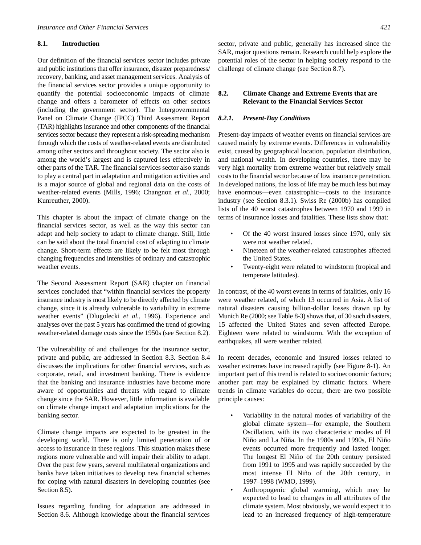# **8.1. Introduction**

Our definition of the financial services sector includes private and public institutions that offer insurance, disaster preparedness/ recovery, banking, and asset management services. Analysis of the financial services sector provides a unique opportunity to quantify the potential socioeconomic impacts of climate change and offers a barometer of effects on other sectors (including the government sector). The Intergovernmental Panel on Climate Change (IPCC) Third Assessment Report ( TAR) highlights insurance and other components of the financial services sector because they represent a risk-spreading mechanism through which the costs of weather-related events are distributed among other sectors and throughout society. The sector also is among the world's largest and is captured less effectively in other parts of the TAR. The financial services sector also stands to play a central part in adaptation and mitigation activities and is a major source of global and regional data on the costs of weather-related events (Mills, 1996; Changnon *et al*., 2000; Kunreuther, 2000).

This chapter is about the impact of climate change on the financial services sector, as well as the way this sector can adapt and help society to adapt to climate change. Still, little can be said about the total financial cost of adapting to climate change. Short-term effects are likely to be felt most through changing frequencies and intensities of ordinary and catastrophic weather events.

The Second Assessment Report (SAR) chapter on financial services concluded that "within financial services the property insurance industry is most likely to be directly affected by climate change, since it is already vulnerable to variability in extreme weather events" (Dlugolecki *et al.*, 1996). Experience and analyses over the past 5 years has confirmed the trend of growing weather-related damage costs since the 1950s (see Section 8.2).

The vulnerability of and challenges for the insurance sector, private and public, are addressed in Section 8.3. Section 8.4 discusses the implications for other financial services, such as corporate, retail, and investment banking. There is evidence that the banking and insurance industries have become more aware of opportunities and threats with regard to climate change since the SAR. However, little information is available on climate change impact and adaptation implications for the banking sector.

Climate change impacts are expected to be greatest in the developing world. There is only limited penetration of or access to insurance in these regions. This situation makes these regions more vulnerable and will impair their ability to adapt. Over the past few years, several multilateral organizations and banks have taken initiatives to develop new financial schemes for coping with natural disasters in developing countries (see Section 8.5).

Issues regarding funding for adaptation are addressed in Section 8.6. Although knowledge about the financial services

sector, private and public, generally has increased since the SAR, major questions remain. Research could help explore the potential roles of the sector in helping society respond to the challenge of climate change (see Section 8.7).

# **8.2. Climate Change and Extreme Events that are Relevant to the Financial Services Sector**

### *8.2.1. Present-Day Conditions*

Present-day impacts of weather events on financial services are caused mainly by extreme events. Differences in vulnerability exist, caused by geographical location, population distribution, and national wealth. In developing countries, there may be very high mortality from extreme weather but relatively small costs to the financial sector because of low insurance penetration. In developed nations, the loss of life may be much less but may have enormous—even catastrophic—costs to the insurance industry (see Section 8.3.1). Swiss Re (2000b) has compiled lists of the 40 worst catastrophes between 1970 and 1999 in terms of insurance losses and fatalities. These lists show that:

- Of the 40 worst insured losses since 1970, only six were not weather related.
- Nineteen of the weather-related catastrophes affected the United States.
- Twenty-eight were related to windstorm (tropical and temperate latitudes).

In contrast, of the 40 worst events in terms of fatalities, only 16 were weather related, of which 13 occurred in Asia. A list of natural disasters causing billion-dollar losses drawn up by Munich Re (2000; see Table 8-3) shows that, of 30 such disasters, 15 affected the United States and seven affected Europe. Eighteen were related to windstorm. With the exception of earthquakes, all were weather related.

In recent decades, economic and insured losses related to weather extremes have increased rapidly (see Figure 8-1). An important part of this trend is related to socioeconomic factors; another part may be explained by climatic factors. Where trends in climate variables do occur, there are two possible principle causes:

- Variability in the natural modes of variability of the global climate system—for example, the Southern Oscillation, with its two characteristic modes of El Niño and La Niña. In the 1980s and 1990s, El Niño events occurred more frequently and lasted longer. The longest El Niño of the 20th century persisted from 1991 to 1995 and was rapidly succeeded by the most intense El Niño of the 20th century, in 1997–1998 (WMO, 1999).
- Anthropogenic global warming, which may be expected to lead to changes in all attributes of the climate system. Most obviously, we would expect it to lead to an increased frequency of high-temperature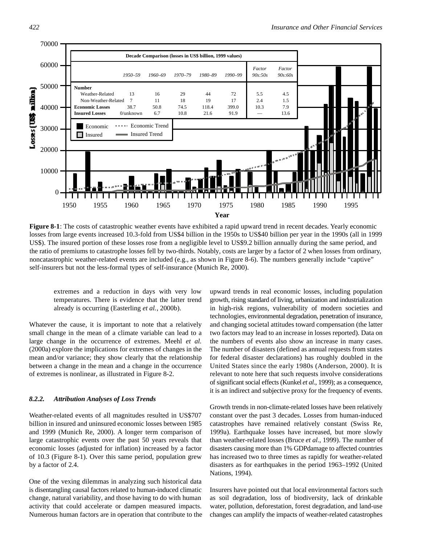

**Figure 8-1**: The costs of catastrophic weather events have exhibited a rapid upward trend in recent decades. Yearly economic losses from large events increased 10.3-fold from US\$4 billion in the 1950s to US\$40 billion per year in the 1990s (all in 1999 US\$). The insured portion of these losses rose from a negligible level to US\$9.2 billion annually during the same period, and the ratio of premiums to catastrophe losses fell by two-thirds. Notably, costs are larger by a factor of 2 when losses from ordinary, noncatastrophic weather-related events are included (e.g., as shown in Figure 8-6). The numbers generally include "captive" self-insurers but not the less-formal types of self-insurance (Munich Re, 2000).

extremes and a reduction in days with very low temperatures. There is evidence that the latter trend already is occurring (Easterling *et al.*, 2000b).

Whatever the cause, it is important to note that a relatively small change in the mean of a climate variable can lead to a large change in the occurrence of extremes. Meehl *et al.* (2000a) explore the implications for extremes of changes in the mean and/or variance; they show clearly that the relationship between a change in the mean and a change in the occurrence of extremes is nonlinear, as illustrated in Figure 8-2.

# *8.2.2. Attribution Analyses of Loss Trends*

Weather-related events of all magnitudes resulted in US\$707 billion in insured and uninsured economic losses between 1985 and 1999 (Munich Re, 2000). A longer term comparison of large catastrophic events over the past 50 years reveals that economic losses (adjusted for inflation) increased by a factor of 10.3 (Figure 8-1). Over this same period, population grew by a factor of 2.4.

One of the vexing dilemmas in analyzing such historical data is disentangling causal factors related to human-induced climatic change, natural variability, and those having to do with human activity that could accelerate or dampen measured impacts. Numerous human factors are in operation that contribute to the upward trends in real economic losses, including population growth, rising standard of living, urbanization and industrialization in high-risk regions, vulnerability of modern societies and technologies, environmental degradation, penetration of insurance, and changing societal attitudes toward compensation (the latter two factors may lead to an increase in losses reported). Data on the numbers of events also show an increase in many cases. The number of disasters (defined as annual requests from states for federal disaster declarations) has roughly doubled in the United States since the early 1980s (Anderson, 2000). It is relevant to note here that such requests involve considerations of significant social effects (Kunkel *et al.*, 1999); as a consequence, it is an indirect and subjective proxy for the frequency of events.

Growth trends in non-climate-related losses have been relatively constant over the past 3 decades. Losses from human-induced catastrophes have remained relatively constant (Swiss Re, 1999a). Earthquake losses have increased, but more slowly than weather-related losses (Bruce *et al.*, 1999). The number of disasters causing more than 1% GDPdamage to affected countries has increased two to three times as rapidly for weather-related disasters as for earthquakes in the period 1963–1992 (United Nations, 1994).

Insurers have pointed out that local environmental factors such as soil degradation, loss of biodiversity, lack of drinkable water, pollution, deforestation, forest degradation, and land-use changes can amplify the impacts of weather-related catastrophes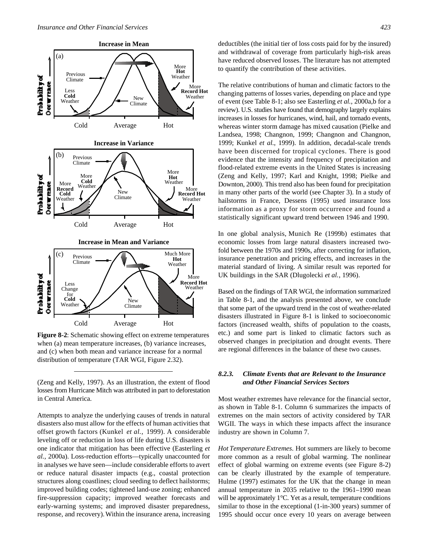

**Figure 8-2:** Schematic showing effect on extreme temperatures when (a) mean temperature increases, (b) variance increases, and (c) when both mean and variance increase for a normal distribution of temperature (TAR WGI, Figure 2.32).

(Zeng and Kelly, 1997). As an illustration, the extent of flood losses from Hurricane Mitch was attributed in part to deforestation in Central America.

Attempts to analyze the underlying causes of trends in natural disasters also must allow for the effects of human activities that offset growth factors (Kunkel et al., 1999). A considerable leveling off or reduction in loss of life during U.S. disasters is one indicator that mitigation has been effective (Easterling *et al.,* 2000a). Loss-reduction efforts—typically unaccounted for in analyses we have seen—include considerable efforts to avert or reduce natural disaster impacts (e.g., coastal protection structures along coastlines; cloud seeding to deflect hailstorms; improved building codes; tightened land-use zoning; enhanced fire-suppression capacity; improved weather forecasts and early-warning systems; and improved disaster preparedness, response, and recovery). Within the insurance arena, increasing

deductibles (the initial tier of loss costs paid for by the insured) and withdrawal of coverage from particularly high-risk areas have reduced observed losses. The literature has not attempted to quantify the contribution of these activities.

The relative contributions of human and climatic factors to the changing patterns of losses varies, depending on place and type of event (see Table 8-1; also see Easterling *et al.,* 2000a,b for a review). U.S. studies have found that demography largely explains increases in losses for hurricanes, wind, hail, and tornado events, whereas winter storm damage has mixed causation (Pielke and Landsea, 1998; Changnon, 1999; Changnon and Changnon, 1999; Kunkel *et al.*, 1999). In addition, decadal-scale trends have been discerned for tropical cyclones. There is good evidence that the intensity and frequency of precipitation and flood-related extreme events in the United States is increasing (Zeng and Kelly, 1997; Karl and Knight, 1998; Pielke and Downton, 2000). This trend also has been found for precipitation in many other parts of the world (see Chapter 3). In a study of hailstorms in France, Dessens (1995) used insurance loss information as a proxy for storm occurrence and found a statistically significant upward trend between 1946 and 1990.

In one global analysis, Munich Re (1999b) estimates that economic losses from large natural disasters increased twofold between the 1970s and 1990s, after correcting for inflation, insurance penetration and pricing effects, and increases in the material standard of living. A similar result was reported for UK buildings in the SAR (Dlugolecki *et al.*, 1996).

Based on the findings of TAR WGI, the information summarized in Table 8-1, and the analysis presented above, we conclude that some part of the upward trend in the cost of weather-related disasters illustrated in Figure 8-1 is linked to socioeconomic factors (increased wealth, shifts of population to the coasts, etc.) and some part is linked to climatic factors such as observed changes in precipitation and drought events. There are regional differences in the balance of these two causes.

# *8.2.3. Climate Events that are Relevant to the Insurance and Other Financial Services Sectors*

Most weather extremes have relevance for the financial sector, as shown in Table 8-1. Column 6 summarizes the impacts of extremes on the main sectors of activity considered by TAR WGII. The ways in which these impacts affect the insurance industry are shown in Column 7.

*Hot Temperature Extremes*. Hot summers are likely to become more common as a result of global warming. The nonlinear effect of global warming on extreme events (see Figure 8-2) can be clearly illustrated by the example of temperature. Hulme (1997) estimates for the UK that the change in mean annual temperature in 2035 relative to the 1961–1990 mean will be approximately 1<sup>o</sup>C. Yet as a result, temperature conditions similar to those in the exceptional (1-in-300 years) summer of 1995 should occur once every 10 years on average between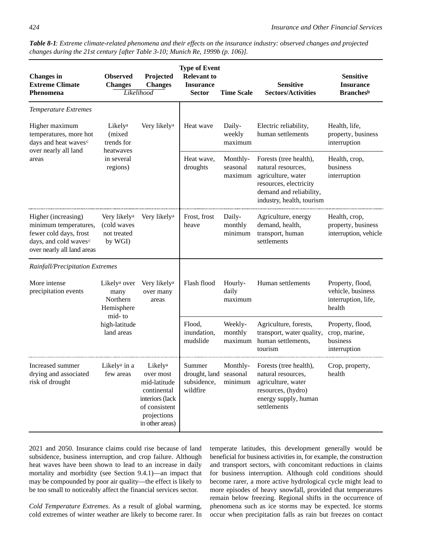| <b>Changes</b> in<br><b>Extreme Climate</b><br>Phenomena                                                                                  | <b>Observed</b><br><b>Changes</b>                                                                   | Projected<br><b>Changes</b><br>Likelihood                                                                                 | <b>Type of Event</b><br><b>Relevant to</b><br><b>Insurance</b><br><b>Sector</b> | <b>Time Scale</b>               | <b>Sensitive</b><br><b>Sectors/Activities</b>                                                                                                        | <b>Sensitive</b><br><b>Insurance</b><br><b>Branches</b> <sup>b</sup>   |
|-------------------------------------------------------------------------------------------------------------------------------------------|-----------------------------------------------------------------------------------------------------|---------------------------------------------------------------------------------------------------------------------------|---------------------------------------------------------------------------------|---------------------------------|------------------------------------------------------------------------------------------------------------------------------------------------------|------------------------------------------------------------------------|
| <b>Temperature Extremes</b>                                                                                                               |                                                                                                     |                                                                                                                           |                                                                                 |                                 |                                                                                                                                                      |                                                                        |
| Higher maximum<br>temperatures, more hot<br>days and heat waves <sup>c</sup><br>over nearly all land                                      | Likelya<br>(mixed<br>trends for<br>heatwaves<br>in several<br>regions)                              | Very likely <sup>a</sup>                                                                                                  | Heat wave                                                                       | Daily-<br>weekly<br>maximum     | Electric reliability,<br>human settlements                                                                                                           | Health, life,<br>property, business<br>interruption                    |
| areas                                                                                                                                     |                                                                                                     |                                                                                                                           | Heat wave,<br>droughts                                                          | Monthly-<br>seasonal<br>maximum | Forests (tree health),<br>natural resources,<br>agriculture, water<br>resources, electricity<br>demand and reliability,<br>industry, health, tourism | Health, crop,<br>business<br>interruption                              |
| Higher (increasing)<br>minimum temperatures,<br>fewer cold days, frost<br>days, and cold waves <sup>c</sup><br>over nearly all land areas | Very likely <sup>a</sup><br>(cold waves<br>not treated<br>by WGI)                                   | Very likely <sup>a</sup>                                                                                                  | Frost, frost<br>heave                                                           | Daily-<br>monthly<br>minimum    | Agriculture, energy<br>demand, health,<br>transport, human<br>settlements                                                                            | Health, crop,<br>property, business<br>interruption, vehicle           |
| Rainfall/Precipitation Extremes                                                                                                           |                                                                                                     |                                                                                                                           |                                                                                 |                                 |                                                                                                                                                      |                                                                        |
| More intense<br>precipitation events                                                                                                      | Likely <sup>a</sup> over<br>many<br>Northern<br>Hemisphere<br>mid-to<br>high-latitude<br>land areas | Very likely <sup>a</sup><br>over many<br>areas                                                                            | Flash flood                                                                     | Hourly-<br>daily<br>maximum     | Human settlements                                                                                                                                    | Property, flood,<br>vehicle, business<br>interruption, life,<br>health |
|                                                                                                                                           |                                                                                                     |                                                                                                                           | Flood,<br>inundation,<br>mudslide                                               | Weekly-<br>monthly<br>maximum   | Agriculture, forests,<br>transport, water quality,<br>human settlements,<br>tourism                                                                  | Property, flood,<br>crop, marine,<br>business<br>interruption          |
| Increased summer<br>drying and associated<br>risk of drought                                                                              | Likely <sup>a</sup> in a<br>few areas                                                               | Likelya<br>over most<br>mid-latitude<br>continental<br>interiors (lack<br>of consistent<br>projections<br>in other areas) | Summer<br>drought, land seasonal<br>subsidence,<br>wildfire                     | Monthly-<br>minimum             | Forests (tree health),<br>natural resources,<br>agriculture, water<br>resources, (hydro)<br>energy supply, human<br>settlements                      | Crop, property,<br>health                                              |

**Table 8-1***: Extreme climate-related phenomena and their effects on the insurance industry: observed changes and projected changes during the 21st century [after Table 3-10; Munich Re, 1999b (p. 106)].*

2021 and 2050. Insurance claims could rise because of land subsidence, business interruption, and crop failure. Although heat waves have been shown to lead to an increase in daily mortality and morbidity (see Section 9.4.1)—an impact that may be compounded by poor air quality—the effect is likely to be too small to noticeably affect the financial services sector.

*Cold Temperature Extremes*. As a result of global warming, cold extremes of winter weather are likely to become rarer. In

temperate latitudes, this development generally would be beneficial for business activities in, for example, the construction and transport sectors, with concomitant reductions in claims for business interruption. Although cold conditions should become rarer, a more active hydrological cycle might lead to more episodes of heavy snowfall, provided that temperatures remain below freezing. Regional shifts in the occurrence of phenomena such as ice storms may be expected. Ice storms occur when precipitation falls as rain but freezes on contact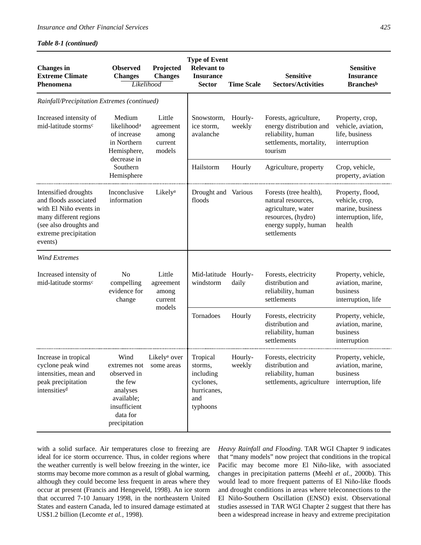#### *Table 8-1 (continued)*

| <b>Changes</b> in<br><b>Extreme Climate</b><br>Phenomena                                                                                                        | <b>Observed</b><br><b>Changes</b>                                                                                     | Projected<br><b>Changes</b><br>Likelihood         | <b>Type of Event</b><br><b>Relevant to</b><br><b>Insurance</b><br><b>Sector</b> | <b>Time Scale</b> | <b>Sensitive</b><br><b>Sectors/Activities</b>                                                                                   | <b>Sensitive</b><br><b>Insurance</b><br><b>Branches</b> <sup>b</sup>                    |
|-----------------------------------------------------------------------------------------------------------------------------------------------------------------|-----------------------------------------------------------------------------------------------------------------------|---------------------------------------------------|---------------------------------------------------------------------------------|-------------------|---------------------------------------------------------------------------------------------------------------------------------|-----------------------------------------------------------------------------------------|
| Rainfall/Precipitation Extremes (continued)                                                                                                                     |                                                                                                                       |                                                   |                                                                                 |                   |                                                                                                                                 |                                                                                         |
| Increased intensity of<br>mid-latitude storms <sup>c</sup>                                                                                                      | Medium<br>likelihooda<br>of increase<br>in Northern<br>Hemisphere,<br>decrease in<br>Southern<br>Hemisphere           | Little<br>agreement<br>among<br>current<br>models | Snowstorm,<br>ice storm,<br>avalanche                                           | Hourly-<br>weekly | Forests, agriculture,<br>energy distribution and<br>reliability, human<br>settlements, mortality,<br>tourism                    | Property, crop,<br>vehicle, aviation,<br>life, business<br>interruption                 |
|                                                                                                                                                                 |                                                                                                                       |                                                   | Hailstorm                                                                       | Hourly            | Agriculture, property                                                                                                           | Crop, vehicle,<br>property, aviation                                                    |
| Intensified droughts<br>and floods associated<br>with El Niño events in<br>many different regions<br>(see also droughts and<br>extreme precipitation<br>events) | Inconclusive<br>information                                                                                           | Likelya                                           | Drought and Various<br>floods                                                   |                   | Forests (tree health),<br>natural resources,<br>agriculture, water<br>resources, (hydro)<br>energy supply, human<br>settlements | Property, flood,<br>vehicle, crop,<br>marine, business<br>interruption, life,<br>health |
| <b>Wind Extremes</b>                                                                                                                                            |                                                                                                                       |                                                   |                                                                                 |                   |                                                                                                                                 |                                                                                         |
| Increased intensity of<br>mid-latitude storms <sup>c</sup>                                                                                                      | N <sub>0</sub><br>compelling<br>evidence for<br>change                                                                | Little<br>agreement<br>among<br>current<br>models | Mid-latitude<br>windstorm                                                       | Hourly-<br>daily  | Forests, electricity<br>distribution and<br>reliability, human<br>settlements                                                   | Property, vehicle,<br>aviation, marine,<br>business<br>interruption, life               |
|                                                                                                                                                                 |                                                                                                                       |                                                   | Tornadoes                                                                       | Hourly            | Forests, electricity<br>distribution and<br>reliability, human<br>settlements                                                   | Property, vehicle,<br>aviation, marine,<br>business<br>interruption                     |
| Increase in tropical<br>cyclone peak wind<br>intensities, mean and<br>peak precipitation<br>intensities <sup>d</sup>                                            | Wind<br>extremes not<br>observed in<br>the few<br>analyses<br>available;<br>insufficient<br>data for<br>precipitation | Likely <sup>a</sup> over<br>some areas            | Tropical<br>storms,<br>including<br>cyclones,<br>hurricanes,<br>and<br>typhoons | Hourly-<br>weekly | Forests, electricity<br>distribution and<br>reliability, human<br>settlements, agriculture                                      | Property, vehicle,<br>aviation, marine,<br>business<br>interruption, life               |

with a solid surface. Air temperatures close to freezing are ideal for ice storm occurrence. Thus, in colder regions where the weather currently is well below freezing in the winter, ice storms may become more common as a result of global warming, although they could become less frequent in areas where they occur at present (Francis and Hengeveld, 1998). An ice storm that occurred 7-10 January 1998, in the northeastern United States and eastern Canada, led to insured damage estimated at US\$1.2 billion (Lecomte *et al.*, 1998).

*Heavy Rainfall and Flooding*. TAR WGI Chapter 9 indicates that "many models" now project that conditions in the tropical Pacific may become more El Niño-like, with associated changes in precipitation patterns (Meehl *et al.*, 2000b). This would lead to more frequent patterns of El Niño-like floods and drought conditions in areas where teleconnections to the El Niño-Southern Oscillation (ENSO) exist. Observational studies assessed in TAR WGI Chapter 2 suggest that there has been a widespread increase in heavy and extreme precipitation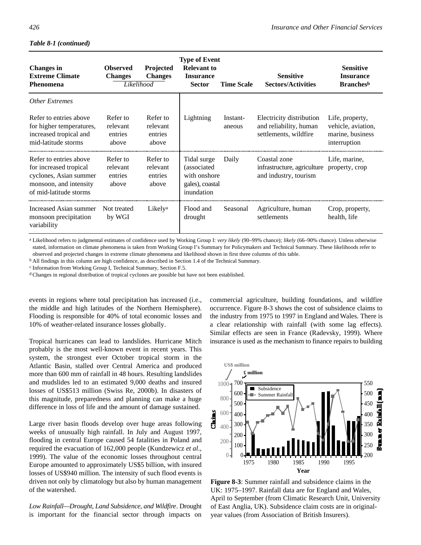#### *Table 8-1 (continued)*

| <b>Changes</b> in<br><b>Extreme Climate</b><br><b>Phenomena</b>                                                                | <b>Observed</b><br><b>Changes</b><br>Likelihood | Projected<br><b>Changes</b>              | <b>Type of Event</b><br><b>Relevant to</b><br><b>Insurance</b><br><b>Sector</b> | <b>Time Scale</b>  | <b>Sensitive</b><br><b>Sectors/Activities</b>                               | <b>Sensitive</b><br><b>Insurance</b><br><b>Branches</b> <sup>b</sup>      |
|--------------------------------------------------------------------------------------------------------------------------------|-------------------------------------------------|------------------------------------------|---------------------------------------------------------------------------------|--------------------|-----------------------------------------------------------------------------|---------------------------------------------------------------------------|
| <b>Other Extremes</b>                                                                                                          |                                                 |                                          |                                                                                 |                    |                                                                             |                                                                           |
| Refer to entries above<br>for higher temperatures,<br>increased tropical and<br>mid-latitude storms                            | Refer to<br>relevant<br>entries<br>above        | Refer to<br>relevant<br>entries<br>above | Lightning                                                                       | Instant-<br>aneous | Electricity distribution<br>and reliability, human<br>settlements, wildfire | Life, property,<br>vehicle, aviation,<br>marine, business<br>interruption |
| Refer to entries above<br>for increased tropical<br>cyclones, Asian summer<br>monsoon, and intensity<br>of mid-latitude storms | Refer to<br>relevant<br>entries<br>above        | Refer to<br>relevant<br>entries<br>above | Tidal surge<br>(associated)<br>with onshore<br>gales), coastal<br>inundation    | Daily              | Coastal zone<br>infrastructure, agriculture<br>and industry, tourism        | Life, marine,<br>property, crop                                           |
| Increased Asian summer<br>monsoon precipitation<br>variability                                                                 | Not treated<br>by WGI                           | Likelya                                  | Flood and<br>drought                                                            | Seasonal           | Agriculture, human<br>settlements                                           | Crop, property,<br>health, life                                           |

a Likelihood refers to judgmental estimates of confidence used by Working Group I: *very likely* (90–99% chance); *likely* (66–90% chance). Unless otherwise stated, information on climate phenomena is taken from Working Group I's Summary for Policymakers and Technical Summary. These likelihoods refer to observed and projected changes in extreme climate phenomena and likelihood shown in first three columns of this table.

b All findings in this column are high confidence, as described in Section 1.4 of the Technical Summary.

c Information from Working Group I, Technical Summary, Section F.5.

d Changes in regional distribution of tropical cyclones are possible but have not been established.

events in regions where total precipitation has increased (i.e., the middle and high latitudes of the Northern Hemisphere). Flooding is responsible for 40% of total economic losses and 10% of weather-related insurance losses globally.

Tropical hurricanes can lead to landslides. Hurricane Mitch probably is the most well-known event in recent years. This system, the strongest ever October tropical storm in the Atlantic Basin, stalled over Central America and produced more than 600 mm of rainfall in 48 hours. Resulting landslides and mudslides led to an estimated 9,000 deaths and insured losses of US\$513 million (Swiss Re, 2000b). In disasters of this magnitude, preparedness and planning can make a huge difference in loss of life and the amount of damage sustained.

Large river basin floods develop over huge areas following weeks of unusually high rainfall. In July and August 1997, flooding in central Europe caused 54 fatalities in Poland and required the evacuation of 162,000 people (Kundzewicz *et al*., 1999). The value of the economic losses throughout central Europe amounted to approximately US\$5 billion, with insured losses of US\$940 million. The intensity of such flood events is driven not only by climatology but also by human management of the watershed.

Low Rainfall—Drought, Land Subsidence, and Wildfire. Drought is important for the financial sector through impacts on commercial agriculture, building foundations, and wildfire occurrence. Figure 8-3 shows the cost of subsidence claims to the industry from 1975 to 1997 in England and Wales. There is a clear relationship with rainfall (with some lag effects). Similar effects are seen in France (Radevsky, 1999). Where insurance is used as the mechanism to finance repairs to building



**Figure 8-3**: Summer rainfall and subsidence claims in the UK: 1975–1997. Rainfall data are for England and Wales, April to September (from Climatic Research Unit, University of East Anglia, UK). Subsidence claim costs are in originalyear values (from Association of British Insurers).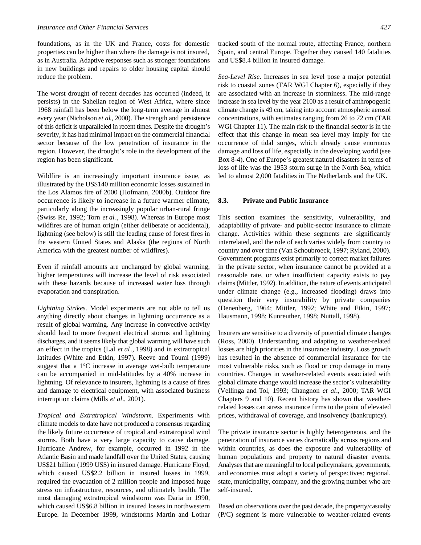foundations, as in the UK and France, costs for domestic properties can be higher than where the damage is not insured, as in Australia. Adaptive responses such as stronger foundations in new buildings and repairs to older housing capital should reduce the problem.

The worst drought of recent decades has occurred (indeed, it persists) in the Sahelian region of West Africa, where since 1968 rainfall has been below the long-term average in almost every year (Nicholson *et al*., 2000). The strength and persistence of this deficit is unparalleled in recent times. Despite the drought's severity, it has had minimal impact on the commercial financial sector because of the low penetration of insurance in the region. However, the drought's role in the development of the region has been significant.

Wildfire is an increasingly important insurance issue, as illustrated by the US\$140 million economic losses sustained in the Los Alamos fire of 2000 (Hofmann, 2000b). Outdoor fire occurrence is likely to increase in a future warmer climate, particularly along the increasingly popular urban-rural fringe (Swiss Re, 1992; Torn *et al*., 1998). Whereas in Europe most wildfires are of human origin (either deliberate or accidental), lightning (see below) is still the leading cause of forest fires in the western United States and Alaska (the regions of North America with the greatest number of wildfires).

Even if rainfall amounts are unchanged by global warming, higher temperatures will increase the level of risk associated with these hazards because of increased water loss through evaporation and transpiration.

*Lightning Strikes.* Model experiments are not able to tell us anything directly about changes in lightning occurrence as a result of global warming. Any increase in convective activity should lead to more frequent electrical storms and lightning discharges, and it seems likely that global warming will have such an effect in the tropics (Lal *et al*., 1998) and in extratropical latitudes (White and Etkin, 1997). Reeve and Toumi (1999) suggest that a 1°C increase in average wet-bulb temperature can be accompanied in mid-latitudes by a 40% increase in lightning. Of relevance to insurers, lightning is a cause of fires and damage to electrical equipment, with associated business interruption claims (Mills *et al*., 2001).

*Tropical and Extratropical Windstorm.* Experiments with climate models to date have not produced a consensus regarding the likely future occurrence of tropical and extratropical wind storms. Both have a very large capacity to cause damage. Hurricane Andrew, for example, occurred in 1992 in the Atlantic Basin and made landfall over the United States, causing US\$21 billion (1999 US\$) in insured damage. Hurricane Floyd, which caused US\$2.2 billion in insured losses in 1999, required the evacuation of 2 million people and imposed huge stress on infrastructure, resources, and ultimately health. The most damaging extratropical windstorm was Daria in 1990, which caused US\$6.8 billion in insured losses in northwestern Europe. In December 1999, windstorms Martin and Lothar

*Sea-Level Rise*. Increases in sea level pose a major potential risk to coastal zones (TAR WGI Chapter 6), especially if they are associated with an increase in storminess. The mid-range increase in sea level by the year 2100 as a result of anthropogenic climate change is 49 cm, taking into account atmospheric aerosol concentrations, with estimates ranging from 26 to 72 cm (TAR WGI Chapter 11). The main risk to the financial sector is in the effect that this change in mean sea level may imply for the occurrence of tidal surges, which already cause enormous damage and loss of life, especially in the developing world (see Box 8-4). One of Europe's greatest natural disasters in terms of loss of life was the 1953 storm surge in the North Sea, which led to almost 2,000 fatalities in The Netherlands and the UK.

# **8.3. Private and Public Insurance**

This section examines the sensitivity, vulnerability, and adaptability of private- and public-sector insurance to climate change. Activities within these segments are significantly interrelated, and the role of each varies widely from country to country and over time (Van Schoubroeck, 1997; Ryland, 2000). Government programs exist primarily to correct market failures in the private sector, when insurance cannot be provided at a reasonable rate, or when insufficient capacity exists to pay claims (Mittler, 1992). In addition, the nature of events anticipated under climate change (e.g., increased flooding) draws into question their very insurability by private companies (Denenberg, 1964; Mittler, 1992; White and Etkin, 1997; Hausmann, 1998; Kunreuther, 1998; Nuttall, 1998).

Insurers are sensitive to a diversity of potential climate changes (Ross, 2000). Understanding and adapting to weather-related losses are high priorities in the insurance industry. Loss growth has resulted in the absence of commercial insurance for the most vulnerable risks, such as flood or crop damage in many countries. Changes in weather-related events associated with global climate change would increase the sector's vulnerability (Vellinga and Tol, 1993; Changnon *et al*., 2000; TAR WGI Chapters 9 and 10). Recent history has shown that weatherrelated losses can stress insurance firms to the point of elevated prices, withdrawal of coverage, and insolvency (bankruptcy).

The private insurance sector is highly heterogeneous, and the penetration of insurance varies dramatically across regions and within countries, as does the exposure and vulnerability of human populations and property to natural disaster events. Analyses that are meaningful to local policymakers, governments, and economies must adopt a variety of perspectives: regional, state, municipality, company, and the growing number who are self-insured.

Based on observations over the past decade, the property/casualty (P/C) segment is more vulnerable to weather-related events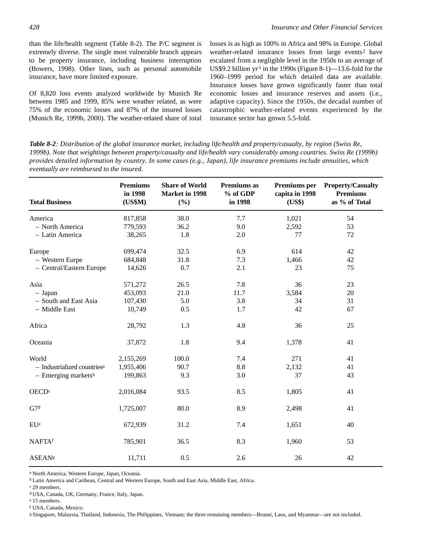than the life/health segment (Table 8-2). The P/C segment is extremely diverse. The single most vulnerable branch appears to be property insurance, including business interruption (Bowers, 1998). Other lines, such as personal automobile insurance, have more limited exposure.

Of 8,820 loss events analyzed worldwide by Munich Re between 1985 and 1999, 85% were weather related, as were 75% of the economic losses and 87% of the insured losses (Munich Re, 1999b, 2000). The weather-related share of total

losses is as high as 100% in Africa and 98% in Europe. Global weather-related insurance losses from large events<sup>2</sup> have escalated from a negligible level in the 1950s to an average of US\$9.2 billion  $yr<sup>1</sup>$  in the 1990s (Figure 8-1)—13.6-fold for the 1960–1999 period for which detailed data are available. Insurance losses have grown significantly faster than total economic losses and insurance reserves and assets (i.e., adaptive capacity). Since the 1950s, the decadal number of catastrophic weather-related events experienced by the in surance sector has grown 5.5-fold.

*Table 8-2: Distribution of the global insurance market, including life/health and property/casualty, by region (Swiss Re, 1999b). Note that weightings between property/casualty and life/health vary considerably among countries. Swiss Re (1999b) p rovides detailed information by country. In some cases (e.g., Japan), life insurance premiums include annuities, which e v e ntually are reimbursed to the insured.*

| <b>Total Business</b>                   | <b>Premiums</b><br>in 1998<br>(US\$M) | <b>Share of World</b><br><b>Market in 1998</b><br>$(\%)$ | <b>Premiums</b> as<br>% of GDP<br>in 1998 | Premiums per<br>capita in 1998<br>(US\$) | <b>Property/Casualty</b><br><b>Premiums</b><br>as % of Total |
|-----------------------------------------|---------------------------------------|----------------------------------------------------------|-------------------------------------------|------------------------------------------|--------------------------------------------------------------|
| America                                 | 817,858                               | 38.0                                                     | 7.7                                       | 1,021                                    | 54                                                           |
| - North America                         | 779,593                               | 36.2                                                     | 9.0                                       | 2,592                                    | 53                                                           |
| - Latin America                         | 38,265                                | 1.8                                                      | 2.0                                       | 77                                       | 72                                                           |
| Europe                                  | 699,474                               | 32.5                                                     | 6.9                                       | 614                                      | 42                                                           |
| - Western Eurpe                         | 684,848                               | 31.8                                                     | 7.3                                       | 1,466                                    | 42                                                           |
| - Central/Eastern Europe                | 14,626                                | 0.7                                                      | 2.1                                       | 23                                       | 75                                                           |
| Asia                                    | 571,272                               | 26.5                                                     | 7.8                                       | 36                                       | 23                                                           |
| - Japan                                 | 453,093                               | 21.0                                                     | 11.7                                      | 3,584                                    | 20                                                           |
| - South and East Asia                   | 107,430                               | 5.0                                                      | 3.8                                       | 34                                       | 31                                                           |
| - Middle East                           | 10,749                                | 0.5                                                      | 1.7                                       | 42                                       | 67                                                           |
| Africa                                  | 28,792                                | 1.3                                                      | 4.8                                       | 36                                       | 25                                                           |
| Oceania                                 | 37,872                                | 1.8                                                      | 9.4                                       | 1,378                                    | 41                                                           |
| World                                   | 2,155,269                             | 100.0                                                    | 7.4                                       | 271                                      | 41                                                           |
| - Industrialized countries <sup>a</sup> | 1,955,406                             | 90.7                                                     | $8.8\,$                                   | 2,132                                    | 41                                                           |
| $-$ Emerging markets <sup>b</sup>       | 199,863                               | 9.3                                                      | 3.0                                       | 37                                       | 43                                                           |
| OECDc                                   | 2,016,084                             | 93.5                                                     | 8.5                                       | 1,805                                    | 41                                                           |
| G7d                                     | 1,725,007                             | 80.0                                                     | 8.9                                       | 2,498                                    | 41                                                           |
| ${\rm EU^e}$                            | 672,939                               | 31.2                                                     | 7.4                                       | 1,651                                    | 40                                                           |
| <b>NAFTAf</b>                           | 785,901                               | 36.5                                                     | 8.3                                       | 1,960                                    | 53                                                           |
| ASEANs                                  | 11,711                                | 0.5                                                      | 2.6                                       | 26                                       | 42                                                           |

a North America, Western Europe, Japan, Oceania.

b Latin America and Caribean, Central and Western Europe, South and East Asia, Middle East, Africa.

g Singapore, Malaysia, Thailand, Indonesia, The Philippines, Vietnam; the three remaining members—Brunei, Laos, and Myanmar—are not included.

c 29 members.

d USA, Canada, UK, Germany, France, Italy, Japan.

e 15 members.

f USA, Canada, Mexico.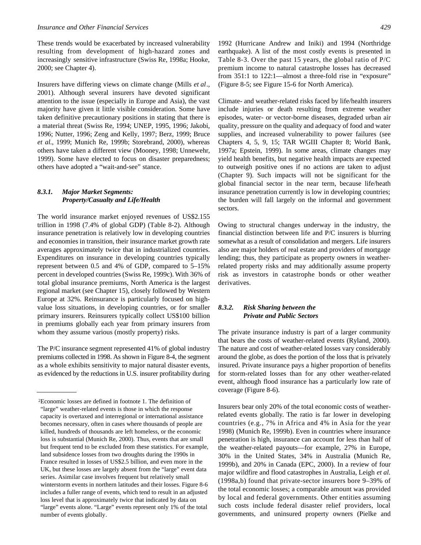These trends would be exacerbated by increased vulnerability resulting from development of high-hazard zones and increasingly sensitive infrastructure (Swiss Re, 1998a; Hooke, 2000; see Chapter 4).

Insurers have differing views on climate change (Mills *et al*., 2001). Although several insurers have devoted significant attention to the issue (especially in Europe and Asia), the vast majority have given it little visible consideration. Some have taken definitive precautionary positions in stating that there is a material threat (Swiss Re, 1994; UNEP, 1995, 1996; Jakobi, 1996; Nutter, 1996; Zeng and Kelly, 1997; Berz, 1999; Bruce *et al*., 1999; Munich Re, 1999b; Storebrand, 2000), whereas others have taken a different view (Mooney, 1998; Unnewehr, 1999). Some have elected to focus on disaster preparedness; others have adopted a "wait-and-see" stance.

# *8.3.1. Major Market Segments: Property/Casualty and Life/Health*

The world insurance market enjoyed revenues of US\$2.155 trillion in 1998 (7.4% of global GDP) (Table 8-2). Although insurance penetration is relatively low in developing countries and economies in transition, their insurance market growth rate averages approximately twice that in industrialized countries. Expenditures on insurance in developing countries typically represent between 0.5 and 4% of GDP, compared to 5–15% percent in developed countries (Swiss Re, 1999c). With 36% of total global insurance premiums, North America is the largest regional market (see Chapter 15), closely followed by Western Europe at 32%. Reinsurance is particularly focused on highvalue loss situations, in developing countries, or for smaller primary insurers. Reinsurers typically collect US\$100 billion in premiums globally each year from primary insurers from whom they assume various (mostly property) risks.

The P/C insurance segment represented 41% of global industry premiums collected in 1998. As shown in Figure 8-4, the segment as a whole exhibits sensitivity to major natural disaster events, as evidenced by the reductions in U.S. insurer profitability during

1992 (Hurricane Andrew and Iniki) and 1994 (Northridge earthquake). A list of the most costly events is presented in Table 8-3. Over the past 15 years, the global ratio of P/C premium income to natural catastrophe losses has decreased from 351:1 to 122:1—almost a three-fold rise in "exposure" (Figure 8-5; see Figure 15-6 for North America).

Climate- and weather-related risks faced by life/health insurers include injuries or death resulting from extreme weather episodes, water- or vector-borne diseases, degraded urban air quality, pressure on the quality and adequacy of food and water supplies, and increased vulnerability to power failures (see Chapters 4, 5, 9, 15; TAR WGIII Chapter 8; World Bank, 1997a; Epstein, 1999). In some areas, climate changes may yield health benefits, but negative health impacts are expected to outweigh positive ones if no actions are taken to adjust (Chapter 9). Such impacts will not be significant for the global financial sector in the near term, because life/heath insurance penetration currently is low in developing countries; the burden will fall largely on the informal and government sectors.

Owing to structural changes underway in the industry, the financial distinction between life and P/C insurers is blurring somewhat as a result of consolidation and mergers. Life insurers also are major holders of real estate and providers of mortgage lending; thus, they participate as property owners in weatherrelated property risks and may additionally assume property risk as investors in catastrophe bonds or other weather derivatives.

# *8.3.2. Risk Sharing between the Private and Public Sectors*

The private insurance industry is part of a larger community that bears the costs of weather-related events (Ryland, 2000). The nature and cost of weather-related losses vary considerably around the globe, as does the portion of the loss that is privately insured. Private insurance pays a higher proportion of benefits for storm-related losses than for any other weather-related event, although flood insurance has a particularly low rate of coverage (Figure 8-6).

Insurers bear only 20% of the total economic costs of weatherrelated events globally. The ratio is far lower in developing countries (e.g., 7% in Africa and 4% in Asia for the year 1998) (Munich Re, 1999b). Even in countries where insurance penetration is high, insurance can account for less than half of the weather-related payouts—for example, 27% in Europe, 30% in the United States, 34% in Australia (Munich Re, 1999b), and 20% in Canada (EPC, 2000). In a review of four major wildfire and flood catastrophes in Australia, Leigh *et al.* (1998a,b) found that private-sector insurers bore 9–39% of the total economic losses; a comparable amount was provided by local and federal governments. Other entities assuming such costs include federal disaster relief providers, local governments, and uninsured property owners (Pielke and

<sup>2</sup>Economic losses are defined in footnote 1. The definition of "large" weather-related events is those in which the response capacity is overtaxed and interregional or international assistance becomes necessary, often in cases where thousands of people are killed, hundreds of thousands are left homeless, or the economic loss is substantial (Munich Re, 2000). Thus, events that are small but frequent tend to be excluded from these statistics. For example, land subsidence losses from two droughts during the 1990s in France resulted in losses of US\$2.5 billion, and even more in the UK, but these losses are largely absent from the "large" event data series. Asimilar case involves frequent but relatively small winterstorm events in northern latitudes and their losses. Figure 8-6 includes a fuller range of events, which tend to result in an adjusted loss level that is approximately twice that indicated by data on "large" events alone. "Large" events represent only 1% of the total number of events globally.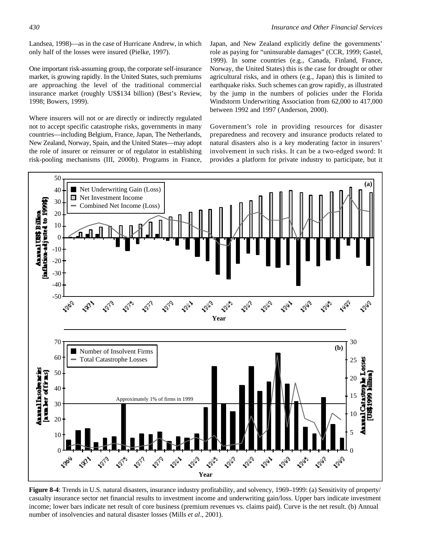Landsea, 1998)—as in the case of Hurricane Andrew, in which only half of the losses were insured (Pielke, 1997).

One important risk-assuming group, the corporate self-insurance market, is growing rapidly. In the United States, such premiums are approaching the level of the traditional commercial insurance market (roughly US\$134 billion) (Best's Review, 1998; Bowers, 1999).

Where insurers will not or are directly or indirectly regulated not to accept specific catastrophe risks, governments in many countries—including Belgium, France, Japan, The Netherlands, New Zealand, Norway, Spain, and the United States—may adopt the role of insurer or reinsurer or of regulator in establishing risk-pooling mechanisms (III, 2000b). Programs in France,

number of insolvencies and natural disaster losses (Mills *et al*., 2001).

Japan, and New Zealand explicitly define the governments' role as paying for "uninsurable damages" (CCR, 1999; Gastel, 1999). In some countries (e.g., Canada, Finland, France, Norway, the United States) this is the case for drought or other agricultural risks, and in others (e.g., Japan) this is limited to earthquake risks. Such schemes can grow rapidly, as illustrated by the jump in the numbers of policies under the Florida Windstorm Underwriting Association from 62,000 to 417,000 between 1992 and 1997 (Anderson, 2000).

Government's role in providing resources for disaster preparedness and recovery and insurance products related to natural disasters also is a key moderating factor in insurers' involvement in such risks. It can be a two-edged sword: It provides a platform for private industry to participate, but it

10  $\theta$ -10 -20  $-30$ -40  $-50$   $-$ E. E. ras  $\mathcal{C}^{\mathcal{S}}$  $\hat{\mathcal{L}}$  $\mathcal{L}$ **Year** 70 30 **(b)** Number of Insolvent Firms 60 Total Catastrophe Losses 25 **Samal Insolveries** (aun der offras) 50 20 40 15 Approximately 1% of firms in 1999 30 1 20 5 10  $_{0}$  m 0  $\mathcal{S}^{\mathcal{S}}$ **B** 1983 1988 1982 29.62  $\mathcal{S}^{\mathcal{G}^{\mathcal{G}}}_{\mathcal{G}}$  $s^{\beta}$ ੍ਹਾਂ  $\mathcal{O}^2$ уğ. **Year Figure 8-4**: Trends in U.S. natural disasters, insurance industry profitability, and solvency, 1969–1999: (a) Sensitivity of property/ casualty insurance sector net financial results to investment income and underwriting gain/loss. Upper bars indicate investment income; lower bars indicate net result of core business (premium revenues vs. claims paid). Curve is the net result. (b) Annual

50

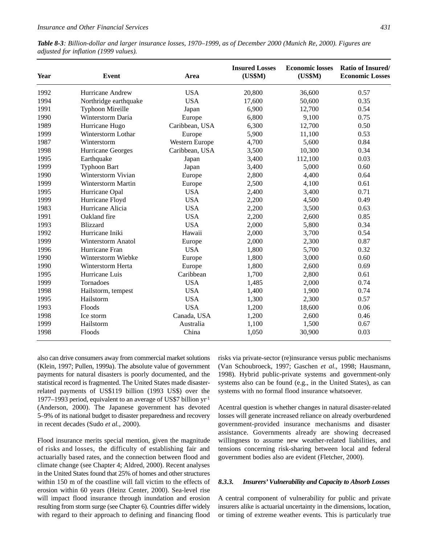*Table 8-3: Billion-dollar and larger insurance losses, 1970–1999, as of December 2000 (Munich Re, 2000). Figures are adjusted for inflation (1999 values).*

| <b>Year</b> | <b>Event</b>             | Area           | <b>Insured Losses</b><br>(US\$M) | <b>Economic losses</b><br>(US\$M) | Ratio of Insured/<br><b>Economic Losses</b> |
|-------------|--------------------------|----------------|----------------------------------|-----------------------------------|---------------------------------------------|
| 1992        | Hurricane Andrew         | <b>USA</b>     | 20,800                           | 36,600                            | 0.57                                        |
| 1994        | Northridge earthquake    | <b>USA</b>     | 17,600                           | 50,600                            | 0.35                                        |
| 1991        | <b>Typhoon Mireille</b>  | Japan          | 6,900                            | 12,700                            | 0.54                                        |
| 1990        | <b>Winterstorm Daria</b> | Europe         | 6,800                            | 9,100                             | 0.75                                        |
| 1989        | Hurricane Hugo           | Caribbean, USA | 6,300                            | 12,700                            | 0.50                                        |
| 1999        | Winterstorm Lothar       | Europe         | 5,900                            | 11,100                            | 0.53                                        |
| 1987        | Winterstorm              | Western Europe | 4,700                            | 5,600                             | 0.84                                        |
| 1998        | Hurricane Georges        | Caribbean, USA | 3,500                            | 10,300                            | 0.34                                        |
| 1995        | Earthquake               | Japan          | 3,400                            | 112,100                           | 0.03                                        |
| 1999        | <b>Typhoon Bart</b>      | Japan          | 3,400                            | 5,000                             | 0.60                                        |
| 1990        | Winterstorm Vivian       | Europe         | 2,800                            | 4,400                             | 0.64                                        |
| 1999        | Winterstorm Martin       | Europe         | 2,500                            | 4,100                             | 0.61                                        |
| 1995        | Hurricane Opal           | <b>USA</b>     | 2,400                            | 3,400                             | 0.71                                        |
| 1999        | Hurricane Floyd          | <b>USA</b>     | 2,200                            | 4,500                             | 0.49                                        |
| 1983        | Hurricane Alicia         | <b>USA</b>     | 2,200                            | 3,500                             | 0.63                                        |
| 1991        | Oakland fire             | <b>USA</b>     | 2,200                            | 2,600                             | 0.85                                        |
| 1993        | <b>Blizzard</b>          | <b>USA</b>     | 2,000                            | 5,800                             | 0.34                                        |
| 1992        | Hurricane Iniki          | Hawaii         | 2,000                            | 3,700                             | 0.54                                        |
| 1999        | Winterstorm Anatol       | Europe         | 2,000                            | 2,300                             | 0.87                                        |
| 1996        | Hurricane Fran           | <b>USA</b>     | 1,800                            | 5,700                             | 0.32                                        |
| 1990        | Winterstorm Wiebke       | Europe         | 1,800                            | 3,000                             | 0.60                                        |
| 1990        | Winterstorm Herta        | Europe         | 1,800                            | 2,600                             | 0.69                                        |
| 1995        | Hurricane Luis           | Caribbean      | 1,700                            | 2,800                             | 0.61                                        |
| 1999        | Tornadoes                | <b>USA</b>     | 1,485                            | 2,000                             | 0.74                                        |
| 1998        | Hailstorm, tempest       | <b>USA</b>     | 1,400                            | 1,900                             | 0.74                                        |
| 1995        | Hailstorm                | <b>USA</b>     | 1,300                            | 2,300                             | 0.57                                        |
| 1993        | Floods                   | <b>USA</b>     | 1,200                            | 18,600                            | 0.06                                        |
| 1998        | Ice storm                | Canada, USA    | 1,200                            | 2,600                             | 0.46                                        |
| 1999        | Hailstorm                | Australia      | 1,100                            | 1,500                             | 0.67                                        |
| 1998        | Floods                   | China          | 1,050                            | 30,900                            | 0.03                                        |

also can drive consumers away from commercial market solutions (Klein, 1997; Pullen, 1999a). The absolute value of government payments for natural disasters is poorly documented, and the statistical record is fragmented. The United States made disasterrelated payments of US\$119 billion (1993 US\$) over the 1977–1993 period, equivalent to an average of US\$7 billion  $yr<sup>1</sup>$ (Anderson, 2000). The Japanese government has devoted 5–9% of its national budget to disaster preparedness and recovery in recent decades (Sudo *et al.,* 2000).

Flood insurance merits special mention, given the magnitude of risks and losses, the difficulty of establishing fair and actuarially based rates, and the connection between flood and climate change (see Chapter 4; Aldred, 2000). Recent analyses in the United States found that 25% of homes and other structures within 150 m of the coastline will fall victim to the effects of erosion within 60 years (Heinz Center, 2000). Sea-level rise will impact flood insurance through inundation and erosion resulting from storm surge (see Chapter 6). Countries differ widely with regard to their approach to defining and financing flood

risks via private-sector (re)insurance versus public mechanisms (Van Schoubroeck, 1997; Gaschen *et al*., 1998; Hausmann, 1998). Hybrid public-private systems and government-only systems also can be found (e.g., in the United States), as can systems with no formal flood insurance whatsoever.

Acentral question is whether changes in natural disaster-related losses will generate increased reliance on already overburdened government-provided insurance mechanisms and disaster assistance. Governments already are showing decreased willingness to assume new weather-related liabilities, and tensions concerning risk-sharing between local and federal government bodies also are evident (Fletcher, 2000).

# 8.3.3. **Insurers' Vulnerability and Capacity to Absorb Losses**

A central component of vulnerability for public and private insurers alike is actuarial uncertainty in the dimensions, location, or timing of extreme weather events. This is particularly true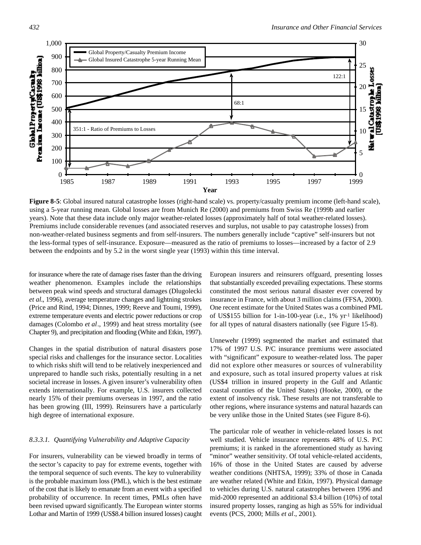

**Figure 8-5**: Global insured natural catastrophe losses (right-hand scale) vs. property/casualty premium income (left-hand scale), using a 5-year running mean. Global losses are from Munich Re (2000) and premiums from Swiss Re (1999b and earlier years). Note that these data include only major weather-related losses (approximately half of total weather-related losses). Premiums include considerable revenues (and associated reserves and surplus, not usable to pay catastrophe losses) from non-weather-related business segments and from self-insurers. The numbers generally include "captive" self-insurers but not the less-formal types of self-insurance. Exposure—measured as the ratio of premiums to losses—increased by a factor of 2.9 between the endpoints and by 5.2 in the worst single year (1993) within this time interval.

for insurance where the rate of damage rises faster than the driving weather phenomenon. Examples include the relationships between peak wind speeds and structural damages (Dlugolecki *et al.*, 1996), average temperature changes and lightning strokes (Price and Rind, 1994; Dinnes, 1999; Reeve and Toumi, 1999), extreme temperature events and electric power reductions or crop damages (Colombo *et al*., 1999) and heat stress mortality (see Chapter 9), and precipitation and flooding (White and Etkin, 1997).

Changes in the spatial distribution of natural disasters pose special risks and challenges for the insurance sector. Localities to which risks shift will tend to be relatively inexperienced and unprepared to handle such risks, potentially resulting in a net societal increase in losses. A given insurer's vulnerability often extends internationally. For example, U.S. insurers collected nearly 15% of their premiums overseas in 1997, and the ratio has been growing (III, 1999). Reinsurers have a particularly high degree of international exposure.

### *8.3.3.1. Quantifying Vulnerability and Adaptive Capacity*

For insurers, vulnerability can be viewed broadly in terms of the sector's capacity to pay for extreme events, together with the temporal sequence of such events. The key to vulnerability is the probable maximum loss (PML), which is the best estimate of the cost that is likely to emanate from an event with a specified probability of occurrence. In recent times, PMLs often have been revised upward significantly. The European winter storms Lothar and Martin of 1999 (US\$8.4 billion insured losses) caught European insurers and reinsurers offguard, presenting losses that substantially exceeded prevailing expectations. These storms constituted the most serious natural disaster ever covered by insurance in France, with about 3 million claims (FFSA, 2000). One recent estimate for the United States was a combined PML of US\$155 billion for 1-in-100-year (i.e., 1% yr-1 likelihood) for all types of natural disasters nationally (see Figure 15-8).

Unnewehr (1999) segmented the market and estimated that 17% of 1997 U.S. P/C insurance premiums were associated with "significant" exposure to weather-related loss. The paper did not explore other measures or sources of vulnerability and exposure, such as total insured property values at risk (US\$4 trillion in insured property in the Gulf and Atlantic coastal counties of the United States) (Hooke, 2000), or the extent of insolvency risk. These results are not transferable to other regions, where insurance systems and natural hazards can be very unlike those in the United States (see Figure 8-6).

The particular role of weather in vehicle-related losses is not well studied. Vehicle insurance represents 48% of U.S. P/C premiums; it is ranked in the aforementioned study as having "minor" weather sensitivity. Of total vehicle-related accidents, 16% of those in the United States are caused by adverse weather conditions (NHTSA, 1999); 33% of those in Canada are weather related (White and Etkin, 1997). Physical damage to vehicles during U.S. natural catastrophes between 1996 and mid-2000 represented an additional \$3.4 billion (10%) of total insured property losses, ranging as high as 55% for individual events (PCS, 2000; Mills *et al*., 2001).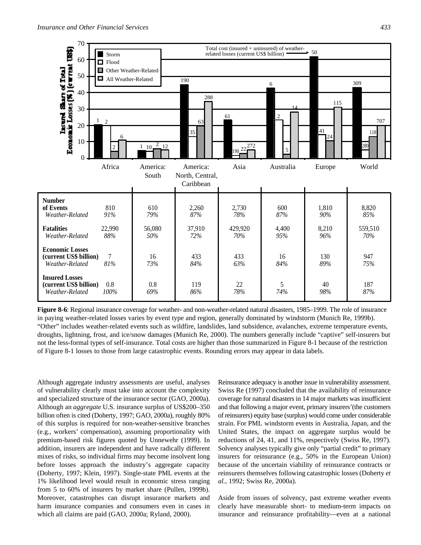

**Figure 8-6**: Regional insurance coverage for weather- and non-weather-related natural disasters, 1985–1999. The role of insurance in paying weather-related losses varies by event type and region, generally dominated by windstorm (Munich Re, 1999b). "Other" includes weather-related events such as wildfire, landslides, land subsidence, avalanches, extreme temperature events, droughts, lightning, frost, and ice/snow damages (Munich Re, 2000). The numbers generally include "captive" self-insurers but not the less-formal types of self-insurance. Total costs are higher than those summarized in Figure 8-1 because of the restriction of Figure 8-1 losses to those from large catastrophic events. Rounding errors may appear in data labels.

Although aggregate industry assessments are useful, analyses of vulnerability clearly must take into account the complexity and specialized structure of the insurance sector (GAO, 2000a). Although an *aggregate* U.S. insurance surplus of US\$200–350 billion often is cited (Doherty, 1997; GAO, 2000a), roughly 80% of this surplus is required for non-weather-sensitive branches (e.g., workers' compensation), assuming proportionality with premium-based risk figures quoted by Unnewehr (1999). In addition, insurers are independent and have radically different mixes of risks, so individual firms may become insolvent long before losses approach the industry's aggregate capacity (Doherty, 1997; Klein, 1997). Single-state PML events at the 1% likelihood level would result in economic stress ranging from 5 to 60% of insurers by market share (Pullen, 1999b). Moreover, catastrophes can disrupt insurance markets and harm insurance companies and consumers even in cases in which all claims are paid (GAO, 2000a; Ryland, 2000).

Reinsurance adequacy is another issue in vulnerability assessment. Swiss Re (1997) concluded that the availability of reinsurance coverage for natural disasters in 14 major markets was insufficient and that following a major event, primary insurers'(the customers of reinsurers) equity base (surplus) would come under considerable strain. For PML windstorm events in Australia, Japan, and the United States, the impact on aggregate surplus would be reductions of  $24$ ,  $41$ , and  $11\%$ , respectively (Swiss Re, 1997). Solvency analyses typically give only "partial credit" to primary insurers for reinsurance (e.g., 50% in the European Union) because of the uncertain viability of reinsurance contracts or reinsurers themselves following catastrophic losses (Doherty *et al.*, 1992; Swiss Re, 2000a).

Aside from issues of solvency, past extreme weather events clearly have measurable short- to medium-term impacts on insurance and reinsurance profitability—even at a national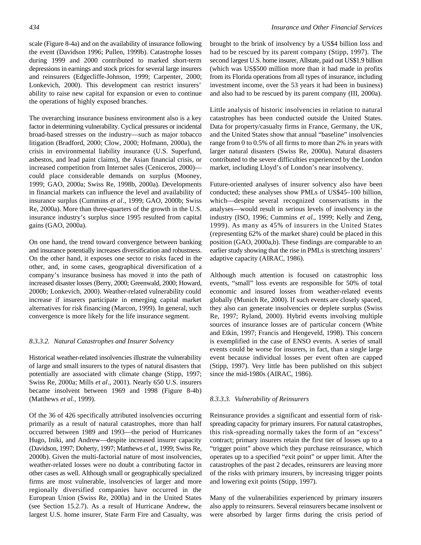scale (Figure 8-4a) and on the availability of insurance following the event (Davidson 1996; Pullen, 1999b). Catastrophe losses during 1999 and 2000 contributed to marked short-term depressions in earnings and stock prices for several large insurers and reinsurers (Edgecliffe-Johnson, 1999; Carpenter, 2000; Lonkevich, 2000). This development can restrict insurers' ability to raise new capital for expansion or even to continue the operations of highly exposed branches.

The overarching insurance business environment also is a key factor in determining vulnerability. Cyclical pressures or incidental broad-based stresses on the industry—such as major tobacco litigation (Bradford, 2000; Clow, 2000; Hofmann, 2000a), the crisis in environmental liability insurance (U.S. Superfund, asbestos, and lead paint claims), the Asian financial crisis, or increased competition from Internet sales (Ceniceros, 2000) could place considerable demands on surplus (Mooney, 1999; GAO, 2000a; Swiss Re, 1998b, 2000a). Developments in financial markets can influence the level and availability of insurance surplus (Cummins *et al*., 1999; GAO, 2000b; Swiss Re, 2000a). More than three-quarters of the growth in the U.S. insurance industry's surplus since 1995 resulted from capital gains (GAO, 2000a).

On one hand, the trend toward convergence between banking and insurance potentially increases diversification and robustness. On the other hand, it exposes one sector to risks faced in the other, and, in some cases, geographical diversification of a company's insurance business has moved it into the path of increased disaster losses (Berry, 2000; Greenwald, 2000; Howard, 2000b; Lonkevich, 2000). Weather-related vulnerability could increase if insurers participate in emerging capital market alternatives for risk financing (Marcon, 1999). In general, such convergence is more likely for the life insurance segment.

### *8.3.3.2. Natural Catastrophes and Insurer Solvency*

Historical weather-related insolvencies illustrate the vulnerability of large and small insurers to the types of natural disasters that potentially are associated with climate change (Stipp, 1997; Swiss Re, 2000a; Mills *et al*., 2001). Nearly 650 U.S. insurers became insolvent between 1969 and 1998 (Figure 8-4b) (Matthews *et al.*, 1999).

Of the 36 of 426 specifically attributed insolvencies occurring primarily as a result of natural catastrophes, more than half occurred between 1989 and 1993—the period of Hurricanes Hugo, Iniki, and Andrew—despite increased insurer capacity (Davidson, 1997; Doherty, 1997; Matthews *et al.*, 1999; Swiss Re, 2000b). Given the multi-factorial nature of most insolvencies, weather-related losses were no doubt a contributing factor in other cases as well. Although small or geographically specialized firms are most vulnerable, insolvencies of larger and more regionally diversified companies have occurred in the European Union (Swiss Re, 2000a) and in the United States (see Section 15.2.7). As a result of Hurricane Andrew, the largest U.S. home insurer, State Farm Fire and Casualty, was brought to the brink of insolvency by a US\$4 billion loss and had to be rescued by its parent company (Stipp, 1997). The second largest U.S. home insurer, Allstate, paid out US\$1.9 billion (which was US\$500 million more than it had made in profits from its Florida operations from all types of insurance, including investment income, over the 53 years it had been in business) and also had to be rescued by its parent company (III, 2000a).

Little analysis of historic insolvencies in relation to natural catastrophes has been conducted outside the United States. Data for property/casualty firms in France, Germany, the UK, and the United States show that annual "baseline" insolvencies range from 0 to 0.5% of all firms to more than 2% in years with larger natural disasters (Swiss Re, 2000a). Natural disasters contributed to the severe difficulties experienced by the London market, including Lloyd's of London's near insolvency.

Future-oriented analyses of insurer solvency also have been conducted; these analyses show PMLs of US\$45–100 billion, which—despite several recognized conservatisms in the analyses—would result in serious levels of insolvency in the industry (ISO, 1996; Cummins *et al.*, 1999; Kelly and Zeng, 1999). As many as 45% of insurers in the United States (representing  $62\%$  of the market share) could be placed in this position (GAO, 2000a,b). These findings are comparable to an earlier study showing that the rise in PMLs is stretching insurers' adaptive capacity (AIRAC, 1986).

Although much attention is focused on catastrophic loss events, "small" loss events are responsible for 50% of total economic and insured losses from weather-related events globally (Munich Re, 2000). If such events are closely spaced, they also can generate insolvencies or deplete surplus (Swiss Re, 1997; Ryland, 2000). Hybrid events involving multiple sources of insurance losses are of particular concern (White and Etkin, 1997; Francis and Hengeveld, 1998). This concern is exemplified in the case of ENSO events. A series of small events could be worse for insurers, in fact, than a single large event because individual losses per event often are capped (Stipp, 1997). Very little has been published on this subject since the mid-1980s (AIRAC, 1986).

#### *8.3.3.3. Vulnerability of Reinsurers*

Reinsurance provides a significant and essential form of riskspreading capacity for primary insurers. For natural catastrophes, this risk-spreading normally takes the form of an "excess" contract; primary insurers retain the first tier of losses up to a "trigger point" above which they purchase reinsurance, which operates up to a specified "exit point" or upper limit. After the catastrophes of the past 2 decades, reinsurers are leaving more of the risks with primary insurers, by increasing trigger points and lowering exit points (Stipp, 1997).

Many of the vulnerabilities experienced by primary insurers also apply to reinsurers. Several reinsurers became insolvent or were absorbed by larger firms during the crisis period of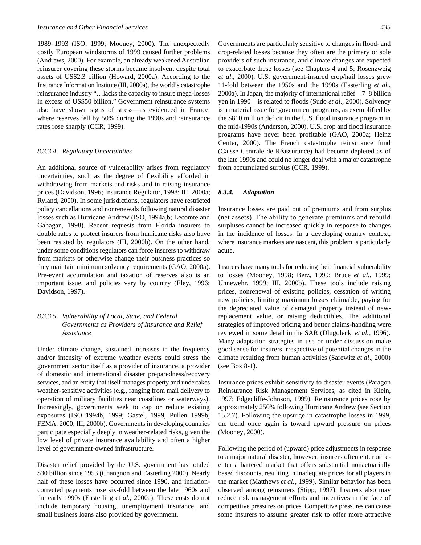1989–1993 (ISO, 1999; Mooney, 2000). The unexpectedly costly European windstorms of 1999 caused further problems (Andrews, 2000). For example, an already weakened Australian reinsurer covering these storms became insolvent despite total assets of US\$2.3 billion (Howard, 2000a). According to the Insurance Information Institute (III, 2000a), the world's catastrophe reinsurance industry "…lacks the capacity to insure mega-losses in excess of US\$50 billion." Government reinsurance systems also have shown signs of stress—as evidenced in France, where reserves fell by 50% during the 1990s and reinsurance rates rose sharply (CCR, 1999).

#### *8.3.3.4. Regulatory Uncertainties*

An additional source of vulnerability arises from regulatory uncertainties, such as the degree of flexibility afforded in withdrawing from markets and risks and in raising insurance prices (Davidson, 1996; Insurance Regulator, 1998; III, 2000a; Ryland, 2000). In some jurisdictions, regulators have restricted policy cancellations and nonrenewals following natural disaster losses such as Hurricane Andrew (ISO, 1994a,b; Lecomte and Gahagan, 1998). Recent requests from Florida insurers to double rates to protect insurers from hurricane risks also have been resisted by regulators (III, 2000b). On the other hand, under some conditions regulators can force insurers to withdraw from markets or otherwise change their business practices so they maintain minimum solvency requirements (GAO, 2000a). Pre-event accumulation and taxation of reserves also is an important issue, and policies vary by country (Eley, 1996; Davidson, 1997).

# *8.3.3.5. Vulnerability of Local, State, and Federal Governments as Providers of Insurance and Relief Assistance*

Under climate change, sustained increases in the frequency and/or intensity of extreme weather events could stress the government sector itself as a provider of insurance, a provider of domestic and international disaster preparedness/recovery services, and an entity that itself manages property and undertakes weather-sensitive activities (e.g., ranging from mail delivery to operation of military facilities near coastlines or waterways). Increasingly, governments seek to cap or reduce existing exposures (ISO 1994b, 1999; Gastel, 1999; Pullen 1999b; FEMA, 2000; III, 2000b). Governments in developing countries participate especially deeply in weather-related risks, given the low level of private insurance availability and often a higher level of government-owned infrastructure.

Disaster relief provided by the U.S. government has totaled \$30 billion since 1953 (Changnon and Easterling 2000). Nearly half of these losses have occurred since 1990, and inflationcorrected payments rose six-fold between the late 1960s and the early 1990s (Easterling et *al.,* 2000a). These costs do not include temporary housing, unemployment insurance, and small business loans also provided by government.

Governments are particularly sensitive to changes in flood- and crop-related losses because they often are the primary or sole providers of such insurance, and climate changes are expected to exacerbate these losses (see Chapters 4 and 5; Rosenzweig *et al*., 2000). U.S. government-insured crop/hail losses grew 11-fold between the 1950s and the 1990s (Easterling *et al.,* 2000a). In Japan, the majority of international relief—7–8 billion yen in 1990—is related to floods (Sudo *et al*., 2000). Solvency is a material issue for government programs, as exemplified by the \$810 million deficit in the U.S. flood insurance program in the mid-1990s (Anderson, 2000). U.S. crop and flood insurance programs have never been profitable (GAO, 2000a; Heinz Center, 2000). The French catastrophe reinsurance fund (Caisse Centrale de Réassurance) had become depleted as of the late 1990s and could no longer deal with a major catastrophe from accumulated surplus (CCR, 1999).

#### *8.3.4. Adaptation*

Insurance losses are paid out of premiums and from surplus (net assets). The ability to generate premiums and rebuild surpluses cannot be increased quickly in response to changes in the incidence of losses. In a developing country context, where insurance markets are nascent, this problem is particularly acute.

Insurers have many tools for reducing their financial vulnerability to losses (Mooney, 1998; Berz, 1999; Bruce *et al.*, 1999; Unnewehr, 1999; III, 2000b). These tools include raising prices, nonrenewal of existing policies, cessation of writing new policies, limiting maximum losses claimable, paying for the depreciated value of damaged property instead of newreplacement value, or raising deductibles. The additional strategies of improved pricing and better claims-handling were reviewed in some detail in the SAR (Dlugolecki *et al.*, 1996). Many adaptation strategies in use or under discussion make good sense for insurers irrespective of potential changes in the climate resulting from human activities (Sarewitz *et al*., 2000) (see Box 8-1).

Insurance prices exhibit sensitivity to disaster events (Paragon Reinsurance Risk Management Services, as cited in Klein, 1997; Edgecliffe-Johnson, 1999). Reinsurance prices rose by approximately 250% following Hurricane Andrew (see Section 15.2.7). Following the upsurge in catastrophe losses in 1999, the trend once again is toward upward pressure on prices (Mooney, 2000).

Following the period of (upward) price adjustments in response to a major natural disaster, however, insurers often enter or reenter a battered market that offers substantial nonactuarially based discounts, resulting in inadequate prices for all players in the market (Matthews *et al.*, 1999). Similar behavior has been observed among reinsurers (Stipp, 1997). Insurers also may reduce risk management efforts and incentives in the face of competitive pressures on prices. Competitive pressures can cause some insurers to assume greater risk to offer more attractive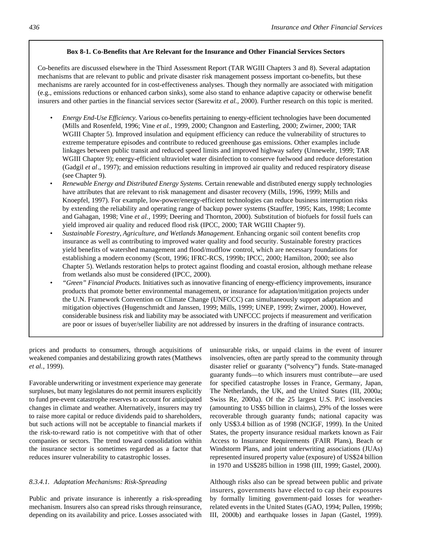# **Box 8-1. Co-Benefits that Are Relevant for the Insurance and Other Financial Services Sectors**

Co-benefits are discussed elsewhere in the Third Assessment Report (TAR WGIII Chapters 3 and 8). Several adaptation mechanisms that are relevant to public and private disaster risk management possess important co-benefits, but these mechanisms are rarely accounted for in cost-effectiveness analyses. Though they normally are associated with mitigation (e.g., emissions reductions or enhanced carbon sinks), some also stand to enhance adaptive capacity or otherwise benefit insurers and other parties in the financial services sector (Sarewitz *et al.*, 2000). Further research on this topic is merited.

- *Energy End-Use Efficiency.* Various co-benefits pertaining to energy-efficient technologies have been documented (Mills and Rosenfeld, 1996; Vine *et al.*, 1999, 2000; Changnon and Easterling, 2000; Zwirner, 2000; TAR WGIII Chapter 5). Improved insulation and equipment efficiency can reduce the vulnerability of structures to extreme temperature episodes and contribute to reduced greenhouse gas emissions. Other examples include linkages between public transit and reduced speed limits and improved highway safety (Unnewehr, 1999; TAR WGIII Chapter 9); energy-efficient ultraviolet water disinfection to conserve fuelwood and reduce deforestation (Gadgil *et al*., 1997); and emission reductions resulting in improved air quality and reduced respiratory disease (see Chapter 9).
- *Renewable Energy and Distributed Energy Systems.* Certain renewable and distributed energy supply technologies have attributes that are relevant to risk management and disaster recovery (Mills, 1996, 1999; Mills and Knoepfel, 1997). For example, low-power/energy-efficient technologies can reduce business interruption risks by extending the reliability and operating range of backup power systems (Stauffer, 1995; Kats, 1998; Lecomte and Gahagan, 1998; Vine *et al.*, 1999; Deering and Thornton, 2000). Substitution of biofuels for fossil fuels can yield improved air quality and reduced flood risk (IPCC, 2000; TAR WGIII Chapter 9).
- *Sustainable Forestry, Agriculture, and Wetlands Management.* Enhancing organic soil content benefits crop insurance as well as contributing to improved water quality and food security. Sustainable forestry practices yield benefits of watershed management and flood/mudflow control, which are necessary foundations for establishing a modern economy (Scott, 1996; IFRC-RCS, 1999b; IPCC, 2000; Hamilton, 2000; see also Chapter 5). Wetlands restoration helps to protect against flooding and coastal erosion, although methane release from wetlands also must be considered (IPCC, 2000).
- "Green" Financial Products. Initiatives such as innovative financing of energy-efficiency improvements, insurance products that promote better environmental management, or insurance for adaptation/mitigation projects under the U.N. Framework Convention on Climate Change (UNFCCC) can simultaneously support adaptation and mitigation objectives (Hugenschmidt and Janssen, 1999; Mills, 1999; UNEP, 1999; Zwirner, 2000). However, considerable business risk and liability may be associated with UNFCCC projects if measurement and verification are poor or issues of buyer/seller liability are not addressed by insurers in the drafting of insurance contracts.

prices and products to consumers, through acquisitions of weakened companies and destabilizing growth rates (Matthews *et al.*, 1999).

Favorable underwriting or investment experience may generate surpluses, but many legislatures do not permit insurers explicitly to fund pre-event catastrophe reserves to account for anticipated changes in climate and weather. Alternatively, insurers may try to raise more capital or reduce dividends paid to shareholders, but such actions will not be acceptable to financial markets if the risk-to-reward ratio is not competitive with that of other companies or sectors. The trend toward consolidation within the insurance sector is sometimes regarded as a factor that reduces insurer vulnerability to catastrophic losses.

# *8.3.4.1. Adaptation Mechanisms: Risk-Spreading*

Public and private insurance is inherently a risk-spreading mechanism. Insurers also can spread risks through reinsurance, depending on its availability and price. Losses associated with uninsurable risks, or unpaid claims in the event of insurer insolvencies, often are partly spread to the community through disaster relief or guaranty ("solvency") funds. State-managed guaranty funds—to which insurers must contribute—are used for specified catastrophe losses in France, Germany, Japan, The Netherlands, the UK, and the United States (III, 2000a; Swiss Re, 2000a). Of the 25 largest U.S. P/C insolvencies (amounting to US\$5 billion in claims), 29% of the losses were recoverable through guaranty funds; national capacity was only US\$3.4 billion as of 1998 (NCIGF, 1999). In the United States, the property insurance residual markets known as Fair Access to Insurance Requirements (FAIR Plans), Beach or Windstorm Plans, and joint underwriting associations (JUAs) represented insured property value (exposure) of US\$24 billion in 1970 and US\$285 billion in 1998 (III, 1999; Gastel, 2000).

Although risks also can be spread between public and private insurers, governments have elected to cap their exposures by formally limiting government-paid losses for weatherrelated events in the United States (GAO, 1994; Pullen, 1999b; III, 2000b) and earthquake losses in Japan (Gastel, 1999).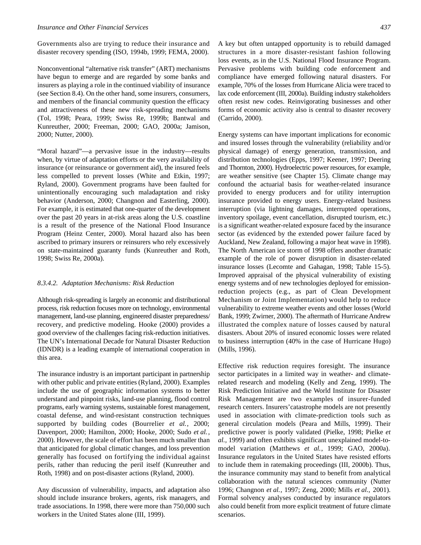Governments also are trying to reduce their insurance and disaster recovery spending (ISO, 1994b, 1999; FEMA, 2000).

Nonconventional "alternative risk transfer" (ART) mechanisms have begun to emerge and are regarded by some banks and insurers as playing a role in the continued viability of insurance (see Section 8.4). On the other hand, some insurers, consumers, and members of the financial community question the efficacy and attractiveness of these new risk-spreading mechanisms (Tol, 1998; Peara, 1999; Swiss Re, 1999b; Bantwal and Kunreuther, 2000; Freeman, 2000; GAO, 2000a; Jamison, 2000; Nutter, 2000).

"Moral hazard"—a pervasive issue in the industry—results when, by virtue of adaptation efforts or the very availability of insurance (or reinsurance or government aid), the insured feels less compelled to prevent losses (White and Etkin, 1997; Ryland, 2000). Government programs have been faulted for unintentionally encouraging such maladaptation and risky behavior (Anderson, 2000; Changnon and Easterling, 2000). For example, it is estimated that one-quarter of the development over the past 20 years in at-risk areas along the U.S. coastline is a result of the presence of the National Flood Insurance Program (Heinz Center, 2000). Moral hazard also has been ascribed to primary insurers or reinsurers who rely excessively on state-maintained guaranty funds (Kunreuther and Roth, 1998; Swiss Re, 2000a).

#### *8.3.4.2. Adaptation Mechanisms: Risk Reduction*

Although risk-spreading is largely an economic and distributional process, risk reduction focuses more on technology, environmental management, land-use planning, engineered disaster preparedness/ recovery, and predictive modeling. Hooke (2000) provides a good overview of the challenges facing risk-reduction initiatives. The UN's International Decade for Natural Disaster Reduction (IDNDR) is a leading example of international cooperation in this area.

The insurance industry is an important participant in partnership with other public and private entities (Ryland, 2000). Examples include the use of geographic information systems to better understand and pinpoint risks, land-use planning, flood control programs, early warning systems, sustainable forest management, coastal defense, and wind-resistant construction techniques supported by building codes (Bourrelier *et al.*, 2000; Davenport, 2000; Hamilton, 2000; Hooke, 2000; Sudo *et al.*, 2000). However, the scale of effort has been much smaller than that anticipated for global climatic changes, and loss prevention generally has focused on fortifying the individual against perils, rather than reducing the peril itself (Kunreuther and Roth, 1998) and on post-disaster actions (Ryland, 2000).

Any discussion of vulnerability, impacts, and adaptation also should include insurance brokers, agents, risk managers, and trade associations. In 1998, there were more than 750,000 such workers in the United States alone (III, 1999).

A key but often untapped opportunity is to rebuild damaged structures in a more disaster-resistant fashion following loss events, as in the U.S. National Flood Insurance Program. Pervasive problems with building code enforcement and compliance have emerged following natural disasters. For example, 70% of the losses from Hurricane Alicia were traced to lax code enforcement (III, 2000a). Building industry stakeholders often resist new codes. Reinvigorating businesses and other forms of economic activity also is central to disaster recovery (Carrido, 2000).

Energy systems can have important implications for economic and insured losses through the vulnerability (reliability and/or physical damage) of energy generation, transmission, and distribution technologies (Epps, 1997; Keener, 1997; Deering and Thornton, 2000). Hydroelectric power resources, for example, are weather sensitive (see Chapter 15). Climate change may confound the actuarial basis for weather-related insurance provided to energy producers and for utility interruption insurance provided to energy users. Energy-related business interruption (via lightning damages, interrupted operations, inventory spoilage, event cancellation, disrupted tourism, etc.) is a significant weather-related exposure faced by the insurance sector (as evidenced by the extended power failure faced by Auckland, New Zealand, following a major heat wave in 1998). The North American ice storm of 1998 offers another dramatic example of the role of power disruption in disaster-related insurance losses (Lecomte and Gahagan, 1998; Table 15-5). Improved appraisal of the physical vulnerability of existing energy systems and of new technologies deployed for emissionreduction projects (e.g., as part of Clean Development Mechanism or Joint Implementation) would help to reduce vulnerability to extreme weather events and other losses (World Bank, 1999; Zwirner, 2000). The aftermath of Hurricane Andrew illustrated the complex nature of losses caused by natural disasters. About 20% of insured economic losses were related to business interruption (40% in the case of Hurricane Hugo) (Mills, 1996).

Effective risk reduction requires foresight. The insurance sector participates in a limited way in weather- and climaterelated research and modeling (Kelly and Zeng, 1999). The Risk Prediction Initiative and the World Institute for Disaster Risk Management are two examples of insurer-funded research centers. Insurers'catastrophe models are not presently used in association with climate-prediction tools such as general circulation models (Peara and Mills, 1999). Their predictive power is poorly validated (Pielke, 1998; Pielke et *al.,* 1999) and often exhibits significant unexplained model-tomodel variation (Matthews *et al.*, 1999; GAO, 2000a). Insurance regulators in the United States have resisted efforts to include them in ratemaking proceedings (III, 2000b). Thus, the insurance community may stand to benefit from analytical collaboration with the natural sciences community (Nutter 1996; Changnon *et al.*, 1997; Zeng, 2000; Mills *et al.,* 2001). Formal solvency analyses conducted by insurance regulators also could benefit from more explicit treatment of future climate scenarios.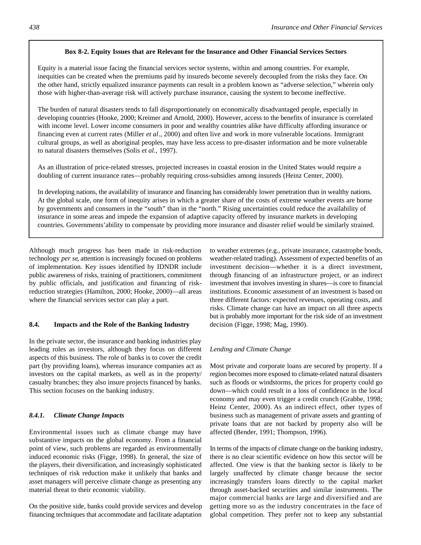# **Box 8-2. Equity Issues that are Relevant for the Insurance and Other Financial Services Sectors**

Equity is a material issue facing the financial services sector systems, within and among countries. For example, inequities can be created when the premiums paid by insureds become severely decoupled from the risks they face. On the other hand, strictly equalized insurance payments can result in a problem known as "adverse selection," wherein only those with higher-than-average risk will actively purchase insurance, causing the system to become ineffective.

The burden of natural disasters tends to fall disproportionately on economically disadvantaged people, especially in developing countries (Hooke, 2000; Kreimer and Arnold, 2000). However, access to the benefits of insurance is correlated with income level. Lower income consumers in poor and wealthy countries alike have difficulty affording insurance or financing even at current rates (Miller *et al*., 2000) and often live and work in more vulnerable locations. Immigrant cultural groups, as well as aboriginal peoples, may have less access to pre-disaster information and be more vulnerable to natural disasters themselves (Solis *et al.,* 1997).

As an illustration of price-related stresses, projected increases in coastal erosion in the United States would require a doubling of current insurance rates—probably requiring cross-subsidies among insureds (Heinz Center, 2000).

In developing nations, the availability of insurance and financing has considerably lower penetration than in wealthy nations. At the global scale, one form of inequity arises in which a greater share of the costs of extreme weather events are borne by governments and consumers in the "south" than in the "north." Rising uncertainties could reduce the availability of insurance in some areas and impede the expansion of adaptive capacity offered by insurance markets in developing countries. Governments'ability to compensate by providing more insurance and disaster relief would be similarly strained.

Although much progress has been made in risk-reduction technology *per se*, attention is increasingly focused on problems of implementation. Key issues identified by IDNDR include public awareness of risks, training of practitioners, commitment by public officials, and justification and financing of riskreduction strategies (Hamilton, 2000; Hooke, 2000)—all areas where the financial services sector can play a part.

# **8.4. Impacts and the Role of the Banking Industry**

In the private sector, the insurance and banking industries play leading roles as investors, although they focus on different aspects of this business. The role of banks is to cover the credit part (by providing loans), whereas insurance companies act as investors on the capital markets, as well as in the property/ casualty branches; they also insure projects financed by banks. This section focuses on the banking industry.

### *8.4.1. Climate Change Impacts*

Environmental issues such as climate change may have substantive impacts on the global economy. From a financial point of view, such problems are regarded as environmentally induced economic risks (Figge, 1998). In general, the size of the players, their diversification, and increasingly sophisticated techniques of risk reduction make it unlikely that banks and asset managers will perceive climate change as presenting any material threat to their economic viability.

On the positive side, banks could provide services and develop financing techniques that accommodate and facilitate adaptation to weather extremes (e.g., private insurance, catastrophe bonds, weather-related trading). Assessment of expected benefits of an investment decision—whether it is a direct investment, through financing of an infrastructure project, or an indirect investment that involves investing in shares—is core to financial institutions. Economic assessment of an investment is based on three different factors: expected revenues, operating costs, and risks. Climate change can have an impact on all three aspects but is probably more important for the risk side of an investment decision (Figge, 1998; Mag, 1990).

# *Lending and Climate Change*

Most private and corporate loans are secured by property. If a region becomes more exposed to climate-related natural disasters such as floods or windstorms, the prices for property could go down—which could result in a loss of confidence in the local economy and may even trigger a credit crunch (Grabbe, 1998; Heinz Center, 2000). As an indirect effect, other types of business such as management of private assets and granting of private loans that are not backed by property also will be affected (Bender, 1991; Thompson, 1996).

In terms of the impacts of climate change on the banking industry, there is no clear scientific evidence on how this sector will be affected. One view is that the banking sector is likely to be largely unaffected by climate change because the sector increasingly transfers loans directly to the capital market through asset-backed securities and similar instruments. The major commercial banks are large and diversified and are getting more so as the industry concentrates in the face of global competition. They prefer not to keep any substantial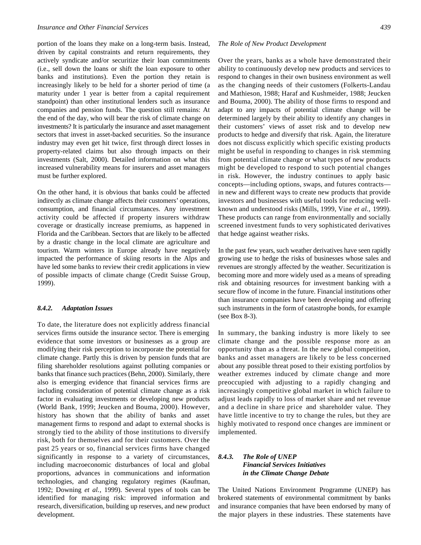portion of the loans they make on a long-term basis. Instead, driven by capital constraints and return requirements, they actively syndicate and/or securitize their loan commitments (i.e., sell down the loans or shift the loan exposure to other banks and institutions). Even the portion they retain is increasingly likely to be held for a shorter period of time (a maturity under 1 year is better from a capital requirement standpoint) than other institutional lenders such as insurance companies and pension funds. The question still remains: At the end of the day, who will bear the risk of climate change on investments? It is particularly the insurance and asset management sectors that invest in asset-backed securities. So the insurance industry may even get hit twice, first through direct losses in property-related claims but also through impacts on their investments (Salt, 2000). Detailed information on what this increased vulnerability means for insurers and asset managers must be further explored.

On the other hand, it is obvious that banks could be affected indirectly as climate change affects their customers' operations, consumption, and financial circumstances. Any investment activity could be affected if property insurers withdraw coverage or drastically increase premiums, as happened in Florida and the Caribbean. Sectors that are likely to be affected by a drastic change in the local climate are agriculture and tourism. Warm winters in Europe already have negatively impacted the performance of skiing resorts in the Alps and have led some banks to review their credit applications in view of possible impacts of climate change (Credit Suisse Group, 1999).

#### *8.4.2. Adaptation Issues*

To date, the literature does not explicitly address financial services firms outside the insurance sector. There is emerging evidence that some investors or businesses as a group are modifying their risk perception to incorporate the potential for climate change. Partly this is driven by pension funds that are filing shareholder resolutions against polluting companies or banks that finance such practices (Behn, 2000). Similarly, there also is emerging evidence that financial services firms are including consideration of potential climate change as a risk factor in evaluating investments or developing new products ( World Bank, 1999; Jeucken and Bouma, 2000). However, history has shown that the ability of banks and asset management firms to respond and adapt to external shocks is strongly tied to the ability of those institutions to diversify risk, both for themselves and for their customers. Over the past 25 years or so, financial services firms have changed significantly in response to a variety of circumstances, including macroeconomic disturbances of local and global proportions, advances in communications and information technologies, and changing regulatory regimes (Kaufman, 1992; Downing *et al.*, 1999). Several types of tools can be identified for managing risk: improved information and research, diversification, building up reserves, and new product development.

#### *The Role of New Product Development*

Over the years, banks as a whole have demonstrated their ability to continuously develop new products and services to respond to changes in their own business environment as well as the changing needs of their customers (Folkerts-Landau and Mathieson, 1988; Haraf and Kushmeider, 1988; Jeucken and Bouma, 2000). The ability of those firms to respond and adapt to any impacts of potential climate change will be determined largely by their ability to identify any changes in their customers' views of asset risk and to develop new products to hedge and diversify that risk. Again, the literature does not discuss explicitly which specific existing products might be useful in responding to changes in risk stemming from potential climate change or what types of new products might be developed to respond to such potential changes in risk. However, the industry continues to apply basic concepts—including options, swaps, and futures contracts in new and different ways to create new products that provide investors and businesses with useful tools for reducing wellknown and understood risks (Mills, 1999, Vine *et al.*, 1999). These products can range from environmentally and socially screened investment funds to very sophisticated derivatives that hedge against weather risks.

In the past few years, such weather derivatives have seen rapidly growing use to hedge the risks of businesses whose sales and revenues are strongly affected by the weather. Securitization is becoming more and more widely used as a means of spreading risk and obtaining resources for investment banking with a secure flow of income in the future. Financial institutions other than insurance companies have been developing and offering such instruments in the form of catastrophe bonds, for example (see Box 8-3).

In summary, the banking industry is more likely to see climate change and the possible response more as an opportunity than as a threat. In the new global competition, banks and asset managers are likely to be less concerned about any possible threat posed to their existing portfolios by weather extremes induced by climate change and more preoccupied with adjusting to a rapidly changing and increasingly competitive global market in which failure to adjust leads rapidly to loss of market share and net revenue and a decline in share price and shareholder value. They have little incentive to try to change the rules, but they are highly motivated to respond once changes are imminent or implemented.

# *8.4.3. The Role of UNEP Financial Services Initiatives in the Climate Change Debate*

The United Nations Environment Programme (UNEP) has brokered statements of environmental commitment by banks and insurance companies that have been endorsed by many of the major players in these industries. These statements have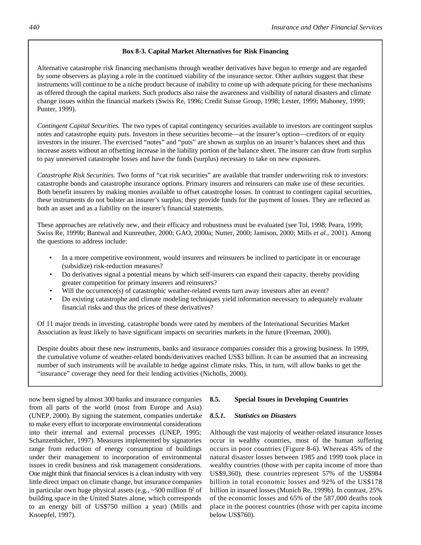# **Box 8-3. Capital Market Alternatives for Risk Financing**

Alternative catastrophe risk financing mechanisms through weather derivatives have begun to emerge and are regarded by some observers as playing a role in the continued viability of the insurance sector. Other authors suggest that these instruments will continue to be a niche product because of inability to come up with adequate pricing for these mechanisms as offered through the capital markets. Such products also raise the awareness and visibility of natural disasters and climate change issues within the financial markets (Swiss Re, 1996; Credit Suisse Group, 1998; Lester, 1999; Mahoney, 1999; Punter, 1999).

*Contingent Capital Securities.* The two types of capital contingency securities available to investors are contingent surplus notes and catastrophe equity puts. Investors in these securities become—at the insurer's option—creditors of or equity investors in the insurer. The exercised "notes" and "puts" are shown as surplus on an insurer's balances sheet and thus increase assets without an offsetting increase in the liability portion of the balance sheet. The insurer can draw from surplus to pay unreserved catastrophe losses and have the funds (surplus) necessary to take on new exposures.

*Catastrophe Risk Securities.* Two forms of "cat risk securities" are available that transfer underwriting risk to investors: catastrophe bonds and catastrophe insurance options. Primary insurers and reinsurers can make use of these securities. Both benefit insurers by making monies available to offset catastrophe losses. In contrast to contingent capital securities, these instruments do not bolster an insurer's surplus; they provide funds for the payment of losses. They are reflected as both an asset and as a liability on the insurer's financial statements.

These approaches are relatively new, and their efficacy and robustness must be evaluated (see Tol, 1998; Peara, 1999; Swiss Re, 1999b; Bantwal and Kunreuther, 2000; GAO, 2000a; Nutter, 2000; Jamison, 2000; Mills *et al.,* 2001). Among the questions to address include:

- In a more competitive environment, would insurers and reinsurers be inclined to participate in or encourage (subsidize) risk-reduction measures?
- Do derivatives signal a potential means by which self-insurers can expand their capacity, thereby providing greater competition for primary insurers and reinsurers?
- Will the occurrence(s) of catastrophic weather-related events turn away investors after an event?
- Do existing catastrophe and climate modeling techniques yield information necessary to adequately evaluate financial risks and thus the prices of these derivatives?

Of 11 major trends in investing, catastrophe bonds were rated by members of the International Securities Market Association as least likely to have significant impacts on securities markets in the future (Freeman, 2000).

Despite doubts about these new instruments, banks and insurance companies consider this a growing business. In 1999, the cumulative volume of weather-related bonds/derivatives reached US\$3 billion. It can be assumed that an increasing number of such instruments will be available to hedge against climate risks. This, in turn, will allow banks to get the "insurance" coverage they need for their lending activities (Nicholls, 2000).

now been signed by almost 300 banks and insurance companies from all parts of the world (most from Europe and Asia) (UNEP, 2000). By signing the statement, companies undertake to make every effort to incorporate environmental considerations into their internal and external processes (UNEP, 1995; Schanzenbächer, 1997). Measures implemented by signatories range from reduction of energy consumption of buildings under their management to incorporation of environmental issues in credit business and risk management considerations. One might think that financial services is a clean industry with very little direct impact on climate change, but insurance companies in particular own huge physical assets (e.g.,  $\sim$  500 million ft<sup>2</sup> of building space in the United States alone, which corresponds to an energy bill of US\$750 million a year) (Mills and Knoepfel, 1997).

#### **8.5. Special Issues in Developing Countries**

# *8.5.1. Statistics on Disasters*

Although the vast majority of weather-related insurance losses occur in wealthy countries, most of the human suffering occurs in poor countries (Figure 8-6). Whereas 45% of the natural disaster losses between 1985 and 1999 took place in wealthy countries (those with per capita income of more than US\$9,360), these countries represent 57% of the US\$984 billion in total economic losses and 92% of the US\$178 billion in insured losses (Munich Re, 1999b). In contrast, 25% of the economic losses and 65% of the 587,000 deaths took place in the poorest countries (those with per capita income below US\$760).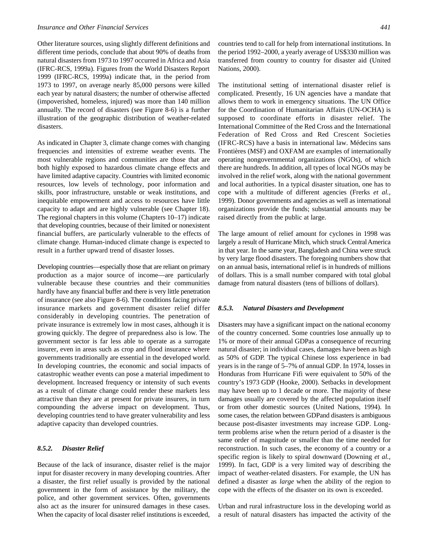Other literature sources, using slightly different definitions and different time periods, conclude that about 90% of deaths from natural disasters from 1973 to 1997 occurred in Africa and Asia (IFRC-RCS, 1999a). Figures from the World Disasters Report 1999 (IFRC-RCS, 1999a) indicate that, in the period from 1973 to 1997, on average nearly 85,000 persons were killed each year by natural disasters; the number of otherwise affected (impoverished, homeless, injured) was more than 140 million annually. The record of disasters (see Figure 8-6) is a further illustration of the geographic distribution of weather-related disasters.

As indicated in Chapter 3, climate change comes with changing frequencies and intensities of extreme weather events. The most vulnerable regions and communities are those that are both highly exposed to hazardous climate change effects and have limited adaptive capacity. Countries with limited economic resources, low levels of technology, poor information and skills, poor infrastructure, unstable or weak institutions, and inequitable empowerment and access to resources have little capacity to adapt and are highly vulnerable (see Chapter 18). The regional chapters in this volume (Chapters 10–17) indicate that developing countries, because of their limited or nonexistent financial buffers, are particularly vulnerable to the effects of climate change. Human-induced climate change is expected to result in a further upward trend of disaster losses.

Developing countries—especially those that are reliant on primary production as a major source of income—are particularly vulnerable because these countries and their communities hardly have any financial buffer and there is very little penetration of insurance (see also Figure 8-6). The conditions facing private insurance markets and government disaster relief differ considerably in developing countries. The penetration of private insurance is extremely low in most cases, although it is growing quickly. The degree of preparedness also is low. The government sector is far less able to operate as a surrogate insurer, even in areas such as crop and flood insurance where governments traditionally are essential in the developed world. In developing countries, the economic and social impacts of catastrophic weather events can pose a material impediment to development. Increased frequency or intensity of such events as a result of climate change could render these markets less attractive than they are at present for private insurers, in turn compounding the adverse impact on development. Thus, developing countries tend to have greater vulnerability and less adaptive capacity than developed countries.

#### *8.5.2. Disaster Relief*

Because of the lack of insurance, disaster relief is the major input for disaster recovery in many developing countries. After a disaster, the first relief usually is provided by the national government in the form of assistance by the military, the police, and other government services. Often, governments also act as the insurer for uninsured damages in these cases. When the capacity of local disaster relief institutions is exceeded,

countries tend to call for help from international institutions. In the period 1992–2000, a yearly average of US\$330 million was transferred from country to country for disaster aid (United Nations, 2000).

The institutional setting of international disaster relief is complicated. Presently, 16 UN agencies have a mandate that allows them to work in emergency situations. The UN Office for the Coordination of Humanitarian Affairs (UN-OCHA) is supposed to coordinate efforts in disaster relief. The International Committee of the Red Cross and the International Federation of Red Cross and Red Crescent Societies (IFRC-RCS) have a basis in international law. Médecins sans Frontières (MSF) and OXFAM are examples of internationally operating nongovernmental organizations (NGOs), of which there are hundreds. In addition, all types of local NGOs may be involved in the relief work, along with the national government and local authorities. In a typical disaster situation, one has to cope with a multitude of different agencies (Frerks *et al.*, 1999). Donor governments and agencies as well as international organizations provide the funds; substantial amounts may be raised directly from the public at large.

The large amount of relief amount for cyclones in 1998 was largely a result of Hurricane Mitch, which struck Central America in that year. In the same year, Bangladesh and China were struck by very large flood disasters. The foregoing numbers show that on an annual basis, international relief is in hundreds of millions of dollars. This is a small number compared with total global damage from natural disasters (tens of billions of dollars).

#### *8.5.3. Natural Disasters and Development*

Disasters may have a significant impact on the national economy of the country concerned. Some countries lose annually up to 1% or more of their annual GDPas a consequence of recurring natural disaster; in individual cases, damages have been as high as 50% of GDP. The typical Chinese loss experience in bad years is in the range of 5–7% of annual GDP. In 1974, losses in Honduras from Hurricane Fifi were equivalent to 50% of the country's 1973 GDP (Hooke, 2000). Setbacks in development may have been up to 1 decade or more. The majority of these damages usually are covered by the affected population itself or from other domestic sources (United Nations, 1994). In some cases, the relation between GDPand disasters is ambiguous because post-disaster investments may increase GDP. Longterm problems arise when the return period of a disaster is the same order of magnitude or smaller than the time needed for reconstruction. In such cases, the economy of a country or a specific region is likely to spiral downward (Downing *et al.*, 1999). In fact, GDP is a very limited way of describing the impact of weather-related disasters. For example, the UN has defined a disaster as *large* when the ability of the region to cope with the effects of the disaster on its own is exceeded.

Urban and rural infrastructure loss in the developing world as a result of natural disasters has impacted the activity of the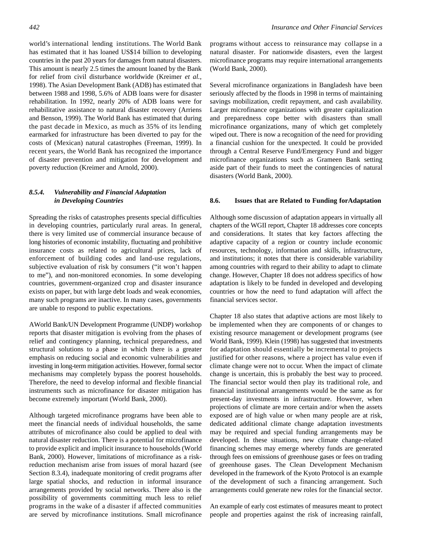world's international lending institutions. The World Bank has estimated that it has loaned US\$14 billion to developing countries in the past 20 years for damages from natural disasters. This amount is nearly 2.5 times the amount loaned by the Bank for relief from civil disturbance worldwide (Kreimer *et al.*, 1998). The Asian Development Bank (ADB) has estimated that between 1988 and 1998, 5.6% of ADB loans were for disaster rehabilitation. In 1992, nearly 20% of ADB loans were for rehabilitative assistance to natural disaster recovery (Arriens and Benson, 1999). The World Bank has estimated that during the past decade in Mexico, as much as 35% of its lending earmarked for infrastructure has been diverted to pay for the costs of (Mexican) natural catastrophes (Freeman, 1999). In recent years, the World Bank has recognized the importance of disaster prevention and mitigation for development and poverty reduction (Kreimer and Arnold, 2000).

# *8.5.4. Vulnerability and Financial Adaptation in Developing Countries*

Spreading the risks of catastrophes presents special difficulties in developing countries, particularly rural areas. In general, there is very limited use of commercial insurance because of long histories of economic instability, fluctuating and prohibitive insurance costs as related to agricultural prices, lack of enforcement of building codes and land-use regulations, subjective evaluation of risk by consumers ("it won't happen to me"), and non-monitored economies. In some developing countries, government-organized crop and disaster insurance exists on paper, but with large debt loads and weak economies, many such programs are inactive. In many cases, governments are unable to respond to public expectations.

AWorld Bank/UN Development Programme (UNDP) workshop reports that disaster mitigation is evolving from the phases of relief and contingency planning, technical preparedness, and structural solutions to a phase in which there is a greater emphasis on reducing social and economic vulnerabilities and investing in long-term mitigation activities. However, formal sector mechanisms may completely bypass the poorest households. Therefore, the need to develop informal and flexible financial instruments such as microfinance for disaster mitigation has become extremely important (World Bank, 2000).

Although targeted microfinance programs have been able to meet the financial needs of individual households, the same attributes of microfinance also could be applied to deal with natural disaster reduction. There is a potential for microfinance to provide explicit and implicit insurance to households (World Bank, 2000). However, limitations of microfinance as a riskreduction mechanism arise from issues of moral hazard (see Section 8.3.4), inadequate monitoring of credit programs after large spatial shocks, and reduction in informal insurance arrangements provided by social networks. There also is the possibility of governments committing much less to relief programs in the wake of a disaster if affected communities are served by microfinance institutions. Small microfinance programs without access to reinsurance may collapse in a natural disaster. For nationwide disasters, even the largest microfinance programs may require international arrangements (World Bank, 2000).

Several microfinance organizations in Bangladesh have been seriously affected by the floods in 1998 in terms of maintaining savings mobilization, credit repayment, and cash availability. Larger microfinance organizations with greater capitalization and preparedness cope better with disasters than small microfinance organizations, many of which get completely wiped out. There is now a recognition of the need for providing a financial cushion for the unexpected. It could be provided through a Central Reserve Fund/Emergency Fund and bigger microfinance organizations such as Grameen Bank setting aside part of their funds to meet the contingencies of natural disasters (World Bank, 2000).

# **8.6. Issues that are Related to Funding forAdaptation**

Although some discussion of adaptation appears in virtually all chapters of the WGII report, Chapter 18 addresses core concepts and considerations. It states that key factors affecting the adaptive capacity of a region or country include economic resources, technology, information and skills, infrastructure, and institutions; it notes that there is considerable variability among countries with regard to their ability to adapt to climate change. However, Chapter 18 does not address specifics of how adaptation is likely to be funded in developed and developing countries or how the need to fund adaptation will affect the financial services sector.

Chapter 18 also states that adaptive actions are most likely to be implemented when they are components of or changes to existing resource management or development programs (see World Bank, 1999). Klein (1998) has suggested that investments for adaptation should essentially be incremental to projects justified for other reasons, where a project has value even if climate change were not to occur. When the impact of climate change is uncertain, this is probably the best way to proceed. The financial sector would then play its traditional role, and financial institutional arrangements would be the same as for present-day investments in infrastructure. However, when projections of climate are more certain and/or when the assets exposed are of high value or when many people are at risk, dedicated additional climate change adaptation investments may be required and special funding arrangements may be developed. In these situations, new climate change-related financing schemes may emerge whereby funds are generated through fees on emissions of greenhouse gases or fees on trading of greenhouse gases. The Clean Development Mechanism developed in the framework of the Kyoto Protocol is an example of the development of such a financing arrangement. Such arrangements could generate new roles for the financial sector.

An example of early cost estimates of measures meant to protect people and properties against the risk of increasing rainfall,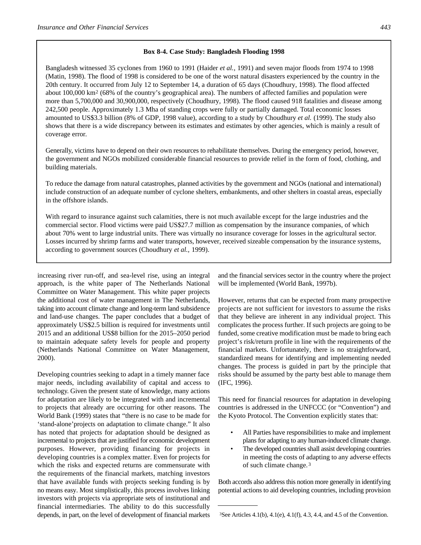#### **Box 8-4. Case Study: Bangladesh Flooding 1998**

Bangladesh witnessed 35 cyclones from 1960 to 1991 (Haider *et al.*, 1991) and seven major floods from 1974 to 1998 (Matin, 1998). The flood of 1998 is considered to be one of the worst natural disasters experienced by the country in the 20th century. It occurred from July 12 to September 14, a duration of 65 days (Choudhury, 1998). The flood affected about 100,000 km<sup>2</sup> (68% of the country's geographical area). The numbers of affected families and population were more than 5,700,000 and 30,900,000, respectively (Choudhury, 1998). The flood caused 918 fatalities and disease among 242,500 people. Approximately 1.3 Mha of standing crops were fully or partially damaged. Total economic losses amounted to US\$3.3 billion (8% of GDP, 1998 value), according to a study by Choudhury *et al.* (1999). The study also shows that there is a wide discrepancy between its estimates and estimates by other agencies, which is mainly a result of coverage error.

Generally, victims have to depend on their own resources to rehabilitate themselves. During the emergency period, however, the government and NGOs mobilized considerable financial resources to provide relief in the form of food, clothing, and building materials.

To reduce the damage from natural catastrophes, planned activities by the government and NGOs (national and international) include construction of an adequate number of cyclone shelters, embankments, and other shelters in coastal areas, especially in the offshore islands.

With regard to insurance against such calamities, there is not much available except for the large industries and the commercial sector. Flood victims were paid US\$27.7 million as compensation by the insurance companies, of which about 70% went to large industrial units. There was virtually no insurance coverage for losses in the agricultural sector. Losses incurred by shrimp farms and water transports, however, received sizeable compensation by the insurance systems, according to government sources (Choudhury *et al.,* 1999).

increasing river run-off, and sea-level rise, using an integral approach, is the white paper of The Netherlands National Committee on Water Management. This white paper projects the additional cost of water management in The Netherlands, taking into account climate change and long-term land subsidence and land-use changes. The paper concludes that a budget of approximately US\$2.5 billion is required for investments until 2015 and an additional US\$8 billion for the 2015–2050 period to maintain adequate safety levels for people and property (Netherlands National Committee on Water Management, 2000).

Developing countries seeking to adapt in a timely manner face major needs, including availability of capital and access to technology. Given the present state of knowledge, many actions for adaptation are likely to be integrated with and incremental to projects that already are occurring for other reasons. The World Bank (1999) states that "there is no case to be made for 'stand-alone'projects on adaptation to climate change." It also has noted that projects for adaptation should be designed as incremental to projects that are justified for economic development purposes. However, providing financing for projects in developing countries is a complex matter. Even for projects for which the risks and expected returns are commensurate with the requirements of the financial markets, matching investors that have available funds with projects seeking funding is by no means easy. Most simplistically, this process involves linking investors with projects via appropriate sets of institutional and financial intermediaries. The ability to do this successfully depends, in part, on the level of development of financial markets and the financial services sector in the country where the project will be implemented (World Bank, 1997b).

However, returns that can be expected from many prospective projects are not sufficient for investors to assume the risks that they believe are inherent in any individual project. This complicates the process further. If such projects are going to be funded, some creative modification must be made to bring each project's risk/return profile in line with the requirements of the financial markets. Unfortunately, there is no straightforward, standardized means for identifying and implementing needed changes. The process is guided in part by the principle that risks should be assumed by the party best able to manage them (IFC, 1996).

This need for financial resources for adaptation in developing countries is addressed in the UNFCCC (or "Convention") and the Kyoto Protocol. The Convention explicitly states that:

- All Parties have responsibilities to make and implement plans for adapting to any human-induced climate change.
- The developed countries shall assist developing countries in meeting the costs of adapting to any adverse effects of such climate change. <sup>3</sup>

Both accords also address this notion more generally in identifying potential actions to aid developing countries, including provision

<sup>3</sup>See Articles 4.1(b), 4.1(e), 4.1(f), 4.3, 4.4, and 4.5 of the Convention.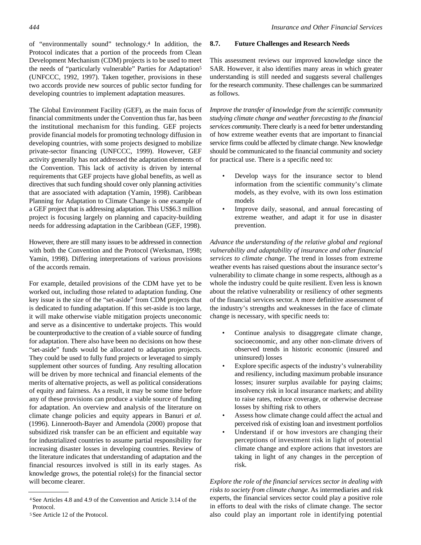The Global Environment Facility (GEF), as the main focus of financial commitments under the Convention thus far, has been the institutional mechanism for this funding. GEF projects provide financial models for promoting technology diffusion in developing countries, with some projects designed to mobilize private-sector financing (UNFCCC, 1999). However, GEF activity generally has not addressed the adaptation elements of the Convention. This lack of activity is driven by internal requirements that GEF projects have global benefits, as well as directives that such funding should cover only planning activities that are associated with adaptation (Yamin, 1998). Caribbean Planning for Adaptation to Climate Change is one example of a GEF project that is addressing adaptation. This US\$6.3 million project is focusing largely on planning and capacity-building needs for addressing adaptation in the Caribbean (GEF, 1998).

However, there are still many issues to be addressed in connection with both the Convention and the Protocol (Werksman, 1998; Yamin, 1998). Differing interpretations of various provisions of the accords remain.

For example, detailed provisions of the CDM have yet to be worked out, including those related to adaptation funding. One key issue is the size of the "set-aside" from CDM projects that is dedicated to funding adaptation. If this set-aside is too large, it will make otherwise viable mitigation projects uneconomic and serve as a disincentive to undertake projects. This would be counterproductive to the creation of a viable source of funding for adaptation. There also have been no decisions on how these "set-aside" funds would be allocated to adaptation projects. They could be used to fully fund projects or leveraged to simply supplement other sources of funding. Any resulting allocation will be driven by more technical and financial elements of the merits of alternative projects, as well as political considerations of equity and fairness. As a result, it may be some time before any of these provisions can produce a viable source of funding for adaptation. An overview and analysis of the literature on climate change policies and equity appears in Banuri *et al.* (1996). Linnerooth-Bayer and Amendola (2000) propose that subsidized risk transfer can be an efficient and equitable way for industrialized countries to assume partial responsibility for increasing disaster losses in developing countries. Review of the literature indicates that understanding of adaptation and the financial resources involved is still in its early stages. As knowledge grows, the potential role(s) for the financial sector will become clearer.

#### **8.7. Future Challenges and Research Needs**

This assessment reviews our improved knowledge since the SAR. However, it also identifies many areas in which greater understanding is still needed and suggests several challenges for the research community. These challenges can be summarized as follows.

Improve the transfer of knowledge from the scientific community *studying climate change and weather forecasting to the financial services community.* There clearly is a need for better understanding of how extreme weather events that are important to financial service firms could be affected by climate change. New knowledge should be communicated to the financial community and society for practical use. There is a specific need to:

- Develop ways for the insurance sector to blend information from the scientific community's climate models, as they evolve, with its own loss estimation models
- Improve daily, seasonal, and annual forecasting of extreme weather, and adapt it for use in disaster prevention.

*Advance the understanding of the relative global and regional vulnerability and adaptability of insurance and other financial services to climate change.* The trend in losses from extreme weather events has raised questions about the insurance sector's vulnerability to climate change in some respects, although as a whole the industry could be quite resilient. Even less is known about the relative vulnerability or resiliency of other segments of the financial services sector.A more definitive assessment of the industry's strengths and weaknesses in the face of climate change is necessary, with specific needs to:

- Continue analysis to disaggregate climate change, socioeconomic, and any other non-climate drivers of observed trends in historic economic (insured and uninsured) losses
- Explore specific aspects of the industry's vulnerability and resiliency, including maximum probable insurance losses; insurer surplus available for paying claims; insolvency risk in local insurance markets; and ability to raise rates, reduce coverage, or otherwise decrease losses by shifting risk to others
- Assess how climate change could affect the actual and perceived risk of existing loan and investment portfolios
- Understand if or how investors are changing their perceptions of investment risk in light of potential climate change and explore actions that investors are taking in light of any changes in the perception of risk.

*Explore the role of the financial services sector in dealing with risks to society from climate change.* As intermediaries and risk experts, the financial services sector could play a positive role in efforts to deal with the risks of climate change. The sector also could play an important role in identifying potential

<sup>4</sup>See Articles 4.8 and 4.9 of the Convention and Article 3.14 of the Protocol.

<sup>5</sup>See Article 12 of the Protocol.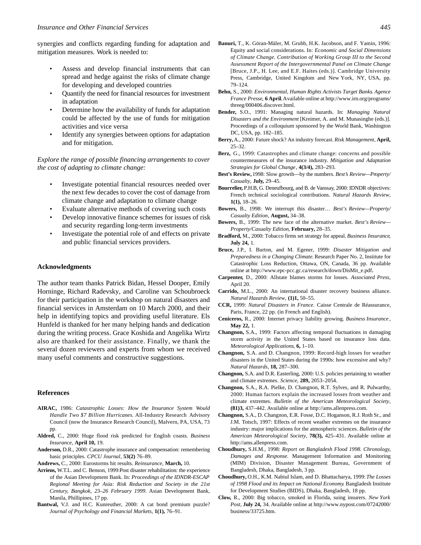synergies and conflicts regarding funding for adaptation and mitigation measures. Work is needed to:

- Assess and develop financial instruments that can spread and hedge against the risks of climate change for developing and developed countries
- Quantify the need for financial resources for investment in adaptation
- Determine how the availability of funds for adaptation could be affected by the use of funds for mitigation activities and vice versa
- Identify any synergies between options for adaptation and for mitigation.

*Explore the range of possible financing arrangements to cover the cost of adapting to climate change:*

- Investigate potential financial resources needed over the next few decades to cover the cost of damage from climate change and adaptation to climate change
- Evaluate alternative methods of covering such costs
- Develop innovative finance schemes for issues of risk and security regarding long-term investments
- Investigate the potential role of and effects on private and public financial services providers.

#### **Acknowledgments**

The author team thanks Patrick Bidan, Hessel Dooper, Emily Horninge, Richard Radevsky, and Caroline van Schoubroeck for their participation in the workshop on natural disasters and financial services in Amsterdam on 10 March 2000, and their help in identifying topics and providing useful literature. Els Hunfeld is thanked for her many helping hands and dedication during the writing process. Grace Koshida and Angelika Wirtz also are thanked for their assistance. Finally, we thank the several dozen reviewers and experts from whom we received many useful comments and constructive suggestions.

#### **References**

- AIRAC, 1986: Catastrophic Losses: How the Insurance System Would *Handle Two \$7 Billion Hurricanes. All-Industry Research Advisory* Council (now the Insurance Research Council), Malvern, PA, USA, 73 pp.
- **Aldred,** C., 2000: Huge flood risk predicted for English coasts. *Business Insurance*, **April 10,** 19.
- Anderson, D.R., 2000: Catastrophe insurance and compensation: remembering basic principles. *CPCU Journal*, **53(2)** 76–89.
- **Andrews,** C., 2000: Eurostorms hit results. *Reinsurance*, **March,** 10.
- Arriens, W.T.L. and C. Benson, 1999:Post disaster rehabilitation: the experience of the Asian Development Bank. In: *Proceedings of the IDNDR-ESCAP Regional Meeting for Asia: Risk Reduction and Society in the 21st Century, Bangkok, 23–26 February 1999*. Asian Development Bank, Manila, Phillipines, 17 pp.
- **Bantwal,** V.J. and H.C. Kunreuther, 2000: A cat bond premium puzzle? *Journal of Psychology and Financial Markets*, **1(1),** 76–91.
- Banuri, T., K. Göran-Mäler, M. Grubb, H.K. Jacobson, and F. Yamin, 1996: Equity and social considerations. In: *Economic and Social Dimensions of Climate Change. Contribution of Working Group III to the Second Assessment Report of the Intergovernmental Panel on Climate Change* [Bruce, J.P., H. Lee, and E.F. Haites (eds.)]. Cambridge University Press, Cambridge, United Kingdom and New York, NY, USA, pp.  $79 - 124.$
- **Behn,** S., 2000: *Environmental, Human Rights Activists Target Banks*. *Agence France Presse*, **6 April**.Available online at http://www.irn.org/programs/ threeg/000406.discover.html.
- Bender, S.O., 1991: Managing natural hazards. In: *Managing Natural Disasters and the Environment* [Kreimer, A. and M. Munasinghe (eds.)]. Proceedings of a colloquium sponsored by the World Bank, Washington DC, USA, pp. 182–185.
- **Berry,**A., 2000: Future shock? An industry forecast. *Risk Management*, **April,** 25–32.
- Berz, G., 1999: Catastrophes and climate change: concerns and possible countermeasures of the insurance industry. *Mitigation and Adaptation Strategies for Global Change*, **4(3/4),** 283–293.
- Best's Review, 1998: Slow growth—by the numbers. *Best's Review—Property/ Casualty*, **July,** 29–45.
- Bourrelier, P.H.B, G. Deneufbourg, and B. de Vanssay, 2000: IDNDR objectives: French technical sociological contributions. *Natural Hazards Review*, **1(1),** 18–26.
- **Bowers,** B., 1998: We interrupt this disaster… *Best's Review—Property/ Casualty Edition*, **August,** 34–38.
- **Bowers,** B., 1999: The new face of the alternative market. *Best's Review— Property/Casualty Edition*, **February,** 28–35.
- **Bradford,** M., 2000: Tobacco firms set strategy for appeal. *Business Insurance*, **July 24,** 1.
- Bruce, J.P., I. Burton, and M. Egener, 1999: *Disaster Mitigation and Preparedness in a Changing Climate.*Research Paper No. 2, Institute for Catastrophic Loss Reduction, Ottawa, ON, Canada, 36 pp. Available online at http://www.epc-pcc.gc.ca/research/down/DisMit\_e.pdf.
- **Carpenter,** D., 2000: Allstate blames storms for losses. *Associated Press*, April 20.
- **Carrido,** M.L., 2000: An international disaster recovery business alliance. *Natural Hazards Review*, **(1)1,** 50–55.
- **CCR,** 1999: *Natural Disasters in France.* Caisse Centrale de Réassurance, Paris, France, 22 pp. (in French and English).
- **Ceniceros,** R., 2000: Internet privacy liability growing. *Business Insurance* , **May 22,** 1.
- **Changnon,** S.A., 1999: Factors affecting temporal fluctuations in damaging storm activity in the United States based on insurance loss data. *Meteorological Applications*, **6,** 1–10.
- Changnon, S.A. and D. Changnon, 1999: Record-high losses for weather disasters in the United States during the 1990s: how excessive and why? *Natural Hazards*, **18,** 287–300.
- Changnon, S.A. and D.R. Easterling, 2000: U.S. policies pertaining to weather and climate extremes. *Science*, **289,** 2053–2054.
- **Changnon,** S.A., R.A. Pielke, D. Changnon, R.T. Sylves, and R. Pulwarthy, 2000: Human factors explain the increased losses from weather and climate extremes. *Bulletin of the American Meteorological Society*, **(81)3,** 437–442. Available online at http://ams.allenpress.com.
- **Changnon,** S.A., D. Changnon, E.R. Fosse, D.C. Hoganson, R.J. Roth Sr., and J.M. Totsch, 1997: Effects of recent weather extremes on the insurance industry: major implications for the atmospheric sciences. *Bulletin of the American Meteorological Society*, **78(3),** 425–431. Available online at http://ams.allenpress.com.
- **Choudhury,** S.H.M., 1998: *Report on Bangladesh Flood 1998. Chronology, Damages and Response.* Management Information and Monitoring (MIM) Division, Disaster Management Bureau, Government of Bangladesh, Dhaka, Bangladesh, 3 pp.
- **Choudhury,** O.H., K.M. Nabiul Islam, and D. Bhattacharya, 1999: *The Losses of 1998 Flood and its Impact on National Economy.* Bangladesh Institute for Development Studies (BIDS), Dhaka, Bangladesh, 18 pp.
- **Clow,** R., 2000: Big tobacco, smoked in Florida, suing insurers. *New York Post*, **July 24,** 34. Available online at http://www.nypost.com/07242000/ business/33725.htm.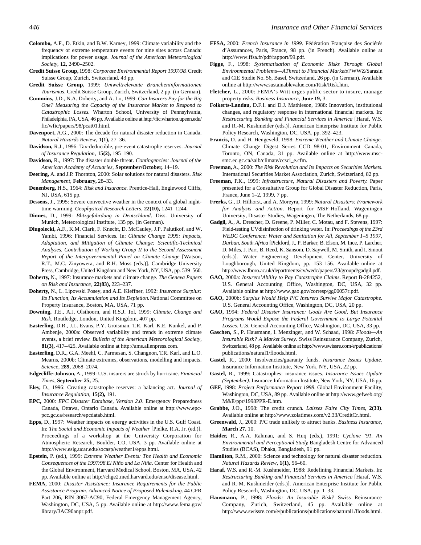- **Colombo,** A.F., D. Etkin, and B.W. Karney, 1999: Climate variability and the frequency of extreme temperature events for nine sites across Canada: implications for power usage. *Journal of the American Meteorological Society*, **12,** 2490–2502.
- **Credit Suisse Group,** 1998: *Corporate Environmental Report 1997/98*. Credit Suisse Group, Zurich, Switzerland, 43 pp.
- **Credit Suisse Group,** 1999: *Umweltrelevante Brancheninformationen Tourismus*. Credit Suisse Group, Zurich, Switzerland, 2 pp. (in German).
- **Cummins,** J.D., N.A. Doherty, and A. Lo, 1999: *Can Insurers Pay for the Big One? Measuring the Capacity of the Insurance Market to Respond to* Catastrophic Losses. Wharton School, University of Pennsylvania, Philadelphia, PA, USA, 46 pp. Available online at http://fic.wharton.upenn.edu/ fic/wfic/papers/98/pcat01.html.
- **Davenport,** A.G., 2000: The decade for natural disaster reduction in Canada. *Natural Hazards Review*, **1(1),** 27–36.
- **Davidson,** R.J., 1996: Tax-deductible, pre-event catastrophe reserves. *Journal of Insurance Regulation*, **15(2),** 195–190.
- **Davidson,** R., 1997: The disaster double threat. *Contingencies: Journal of the American Academy of Actuaries*, **September/October,** 14–19.
- **Deering,** A. and J.P. Thornton, 2000: Solar solutions for natural disasters. *Risk Management*, **February,** 28–33.
- **Denenberg,** H.S., 1964: *Risk and Insurance.* Prentice-Hall, Englewood Cliffs, NJ, USA, 615 pp.
- **Dessens,** J., 1995: Severe convective weather in the context of a global nighttime warming. *Geophysical Research Letters*, **22(10),** 1241–1244.
- Dinnes, D., 1999: *Blitzgefahrdung in Deutschland*. Diss. University of Munich, Meteorological Institute, 135 pp. (in German).
- **Dlugolecki,** A.F., K.M. Clark, F. Knecht, D. McCauley, J.P. Palutikof, and W. Yambi, 1996: Financial Services. In: *Climate Change 1995: Impacts, Adaptation, and Mitigation of Climate Change: Scientific-Technical Analyses. Contribution of Working Group II to the Second Assessment Report of the Intergovernmental Panel on Climate Change* [Watson, R.T., M.C. Zinyowera, and R.H. Moss (eds.)]. Cambridge University Press, Cambridge, United Kingdom and New York, NY, USA, pp. 539–560.
- **Doherty,** N., 1997: Insurance markets and climate change. *The Geneva Papers on Risk and Insurance*, **22(83),** 223–237.
- **Doherty,** N., L. Lipowski Posey, and A.E. Kleffner, 1992: *Insurance Surplus: Its Function, Its Accumulation and Its Depletion.*National Committee on Property Insurance, Boston, MA, USA, 71 pp.
- **Downing,** T.E., A.J. Olsthoorn, and R.S.J. Tol, 1999: *Climate, Change and Risk.* Routledge, London, United Kingdom, 407 pp.
- **Easterling,** D.R., J.L. Evans, P.Y. Groisman, T.R. Karl, K.E. Kunkel, and P. Ambenje, 2000a: Observed variability and trends in extreme climate events, a brief review. *Bulletin of the American Meteorological Society*, **81(3),** 417–425. Available online at http://ams.allenpress.com.
- **Easterling,** D.R., G.A. Meehl, C. Parmesan, S. Changnon, T.R. Karl, and L.O. Mearns, 2000b: Climate extremes, observations, modelling and impacts. *Science*, **289,** 2068–2074.
- **Edgecliffe-Johnson,** A., 1999: U.S. insurers are struck by hurricane. *Financial Times*, **September 25,** 25.
- **Eley,** D., 1996: Creating catastrophe reserves: a balancing act. *Journal of Insurance Regulation*, **15(2),** 191.
- **EPC,** 2000: *EPC Disaster Database, Version 2.0*. Emergency Preparedness Canada, Ottawa, Ontario Canada. Available online at http://www.epcpcc.gc.ca/research/epcdatab.html.
- **Epps,** D., 1997: Weather impacts on energy activities in the U.S. Gulf Coast. In: *The Social and Economic Impacts of Weather* [Pielke, R.A. Jr. (ed.)]. Proceedings of a workshop at the University Corporation for Atmospheric Research, Boulder, CO, USA, 3 pp. Available online at http://www.esig.ucar.edu/socasp/weather1/epps.html.
- **Epstein,** P. (ed.), 1999: *Extreme Weather Events: The Health and Economic Consequences of the 1997/98 El Niño and La Niña.* Center for Health and the Global Environment, Harvard Medical School, Boston, MA, USA, 42 pp. Available online at http://chge2.med.harvard.edu/enso/disease.html.
- **FEMA,** 2000: *Disaster Assistance; Insurance Requirements for the Public Assistance Program. Advanced Notice of Proposed Rulemaking.* 44 CFR Part 206, RIN 3067-AC90, Federal Emergency Management Agency, Washington, DC, USA, 5 pp. Available online at http://www.fema.gov/ library/3AC90anpr.pdf.
- **FFSA,** 2000: *French Insurance in 1999*. Fédération Française des Sociétés d'Assurances, Paris, France, 98 pp. (in French). Available online at http://www.ffsa.fr/pdf/rapport/99.pdf.
- Figge, F., 1998: Systematisation of Economic Risks Through Global *Environmental Problems-AThreat to Financial Markets?* WWZ/Sarasin and CIE Studie No. 56, Basel, Switzerland, 26 pp. (in German). Available online at http://www.sustainablevalue.com/Risk/Risk.htm.
- Fletcher, L., 2000: FEMA's Witt urges public sector to insure, manage property risks. *Business Insurance*, **June 19,** 3.
- **Folkerts-Landau,** D.F.I. and D.J. Mathieson, 1988: Innovation, institutional changes, and regulatory response in international financial markets. In: *Restructuring Banking and Financial Services in America* [Haraf, W.S. and R.-M. Kushmeider (eds.)]. American Enterprise Institute for Public Policy Research, Washington, DC, USA, pp. 392–423.
- **Francis,** D. and H. Hengeveld, 1998: *Extreme Weather and Climate Change.* Climate Change Digest Series CCD 98-01, Environment Canada, Toronto, ON, Canada, 31 pp. Available online at http://www.mscsmc.ec.gc.ca/saib/climate/ccsci\_e.cfm.
- Freeman, A., 2000: *The Risk Revolution and Its Impacts on Securities Markets.* International Securities Market Association, Zurich, Switzerland, 82 pp.
- **Freeman,** P.K., 1999: *Infrastructure, Natural Disasters and Poverty.* Paper presented for a Consultative Group for Global Disaster Reduction, Paris, France, June 1–2, 1999, 7 pp.
- **Frerks,** G., D. Hilhorst, and A. Moreyra, 1999: *Natural Disasters: Framework* for Analysis and Action. Report for MSF-Holland. Wageningen University, Disaster Studies, Wageningen, The Netherlands, 68 pp.
- Gadgil, A., A. Drescher, D. Greene, P. Miller, C. Motau, and F. Stevens, 1997: Field-testing UVdisinfection of drinking water. In: Proceedings of the 23rd *WEDC Conference: Water and Sanitation for All, September 1–5 1997, Durban, South Africa* [Pickford, J., P. Barker, B. Elson, M. Ince, P. Larcher, D. Miles, J. Parr, B. Reed, K. Sansom, D. Saywell, M. Smith, and I. Smout (eds.)]. Water Engineering Development Center, University of Loughborough, United Kingdom, pp. 153–156. Available online at http://www.lboro.ac.uk/departments/cv/wedc/papers/23/groupd/gadgil.pdf.
- **GAO,** 2000a: *Insurers'Ability to Pay Catastrophe Claims*. Report B-284252, U.S. General Accounting Office, Washington, DC, USA, 32 pp. Available online at http://www.gao.gov/corresp/gg00057r.pdf.
- **GAO,** 2000b: *Surplus Would Help P/C Insurers Survive Major Catastrophe.* U.S. General Accounting Office, Washington, DC, USA, 20 pp.
- **GAO,** 1994: *Federal Disaster Insurance: Goals Are Good, But Insurance Programs Would Expose the Federal Government to Large Potential Losses.* U.S. General Accounting Office, Washington, DC, USA, 33 pp.
- **Gaschen,** S., P. Hausmann, I. Menzinger, and W. Schaad, 1998: *Floods—An Insurable Risk? A Market Survey.* Swiss Reinsurance Company, Zurich, Switzerland, 48 pp. Available online at http://www.swissre.com/e/publications/ publications/natural1/floods.html.
- **Gastel,** R., 2000: Insolvencies/guaranty funds. *Insurance Issues Update*. Insurance Information Institute, New York, NY, USA, 22 pp.
- **Gastel,** R., 1999: Catastrophes: insurance issues. *Insurance Issues Update (September)*. Insurance Information Institute, New York, NY, USA, 16 pp.
- **GEF,** 1998: *Project Performance Report 1998.* Global Environment Facility, Washington, DC, USA, 89 pp. Available online at http://www.gefweb.org/ M&E/ppr/1998PPR-E.htm.
- **Grabbe,** J.O., 1998: The credit crunch*. Laissez Faire City Times*, **2(33)**. Available online at http://www.zolatimes.com/v2.33/CreditCr.html.
- **Greenwald,** J., 2000: P/C trade unlikely to attract banks. *Business Insurance*, **March 27,** 10.
- Haider, R., A.A. Rahman, and S. Huq (eds.), 1991: *Cyclone '91. An Environmental and Perceptional Study.* Bangladesh Centre for Advanced Studies (BCAS), Dhaka, Bangladesh, 91 pp.
- **Hamilton,** R.M., 2000: Science and technology for natural disaster reduction. *Natural Hazards Review*, **1(1),** 56–60.
- **Haraf,** W.S. and R.-M. Kushmeider, 1988: Redefining Financial Markets. In: *Restructuring Banking and Financial Services in America* [Haraf, W.S. and R.-M. Kushmeider (eds.)]. American Enterprise Institute for Public Policy Research, Washington, DC, USA, pp. 1–33.
- Hausmann, P., 1998: *Floods: An Insurable Risk?* Swiss Reinsurance Company, Zurich, Switzerland, 45 pp. Available online at http://www.swissre.com/e/publications/publications/natural1/floods.html.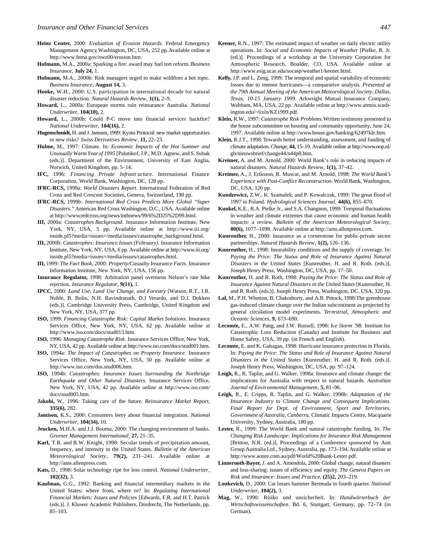- **Heinz Center,** 2000: *Evaluation of Erosion Hazards.* Federal Emergency Management Agency,Washington, DC, USA, 252 pp. Available online at http://www.fema.gov/nwz00/erosion.htm.
- **Hofmann,** M.A., 2000a: Sparking a fire: award may fuel tort reform. *Business Insurance,* **July 24,** 1.
- **Hofmann,** M.A., 2000b: Risk managers urged to make wildfires a hot topic. *Business Insurance*, **August 14,** 3.
- Hooke, W.H., 2000: U.S. participation in international decade for natural disaster reduction. Natural Hazards Review,  $1(1)$ , 2-9.
- **Howard,** L., 2000a: European storms ruin reinsurance Australia. *National Underwriter*, **104(10),** 2.
- **Howard,** L., 2000b: Could P-C move into financial services backfire? *National Underwriter*, **104(16),** 2.
- Hugenschmidt, H. and J. Janssen, 1999: Kyoto Protocol: new market opportunities or new risks? *Swiss Derivatives Review*, **11,** 22–23.
- **Hulme,** M., 1997: Climate. In: *Economic Impacts of the Hot Summer and Unusually Warm Year of 1995* [Palutikof, J.P., M.D. Agnew, and S. Subak (eds.)]. Department of the Environment, University of East Anglia, Norwich, United Kingdom, pp. 5–14.
- IFC, 1996: Financing Private Infrastructure. International Finance Corporation, World Bank, Washington, DC, 128 pp.
- **IFRC-RCS,** 1999a: *World Disasters Report.* International Federation of Red Cross and Red Crescent Societies, Geneva, Switzerland, 198 pp.
- **IFRC-RCS,** 1999b: *International Red Cross Predicts More Global "Super Disasters.*" American Red Cross Washington, D.C., USA. Available online at http://www.redcross.org/news/inthnews/99/6%2D25%2D99.html.
- **III,** 2000a: *Catastrophes Background.* Insurance Information Institute, New York, NY, USA, 5 pp. Available online at http://www.iii.org/ inside.pl5?media=issues=/media/issues/catastrophe\_background.html.
- **III,** 2000b: *Catastrophes: Insurance Issues (February)*. Insurance Information Institute, New York, NY, USA, 6 pp. Available online at http://www.iii.org/ inside.pl5?media=issues=/media/issues/catastrophes.html.
- **III,** 1999: *The Fact Book, 2000: Property/Casualty Insurance Facts.* Insurance Information Institute, New York, NY, USA, 156 pp.
- **Insurance Regulator,** 1998: Arbitration panel overturns Nelson's rate hike rejection. *Insurance Regulator*, **9(11),** 1.
- **IPCC,** 2000: *Land Use, Land Use Change, and Forestry* [Watson, R.T., I.R. Noble, B. Bolin, N.H. Ravindranath, D.J Verardo, and D.J. Dokken (eds.)]. Cambridge University Press, Cambridge, United Kingdom and New York, NY, USA, 377 pp.
- **ISO,** 1999: *Financing Catastrophe Risk: Capital Market Solutions.* Insurance Services Office, New York, NY, USA, 62 pp. Available online at http://www.iso.com/docs/stud013.htm.
- ISO, 1996: *Managing Catastrophe Risk*. Insurance Services Office, New York, NY, USA, 42 pp. Available online at http://www.iso.com/docs/stud001.htm.
- **ISO,** 1994a: *The Impact of Catastrophes on Property Insurance.* Insurance Services Office, New York, NY, USA, 50 pp. Available online at http://www.iso.com/dos.stud006.htm.
- **ISO,** 1994b: *Catastrophes: Insurance Issues Surrounding the Northridge Earthquake and Other Natural Disasters.* Insurance Services Office, New York, NY, USA, 42 pp. Available online at http://www.iso.com/ docs/stud005.htm.
- **Jakobi,** W., 1996: Taking care of the future. *Reinsurance Market Report*, **335(6),** 282.
- **Jamison,** K.S., 2000: Consumers leery about financial integration. *National Underwriter*, **104(34),** 10.
- **Jeucken,** M.H.A. and J.J. Bouma, 2000: The changing environment of banks. *Greener Management International*, **27,** 21–35.
- Karl, T.R. and R.W. Knight, 1998: Secular trends of precipitation amount, frequency, and intensity in the United States. *Bulletin of the American Meteorological Society*, **79(2)**, 231-241. Available online at http://ams.allenpress.com.
- **Kats,** D., 1998: Solar technology ripe for loss control. *National Underwriter*, **102(32),** 3.
- **Kaufman,** G.G., 1992: Banking and financial intermediary markets in the United States: where from, where to? In: *Regulating International Financial Markets: Issues and Policies* [Edwards, F.R. and H.T. Patrick (eds.)]. J. Kluwer Academic Publishers, Dordrecht, The Netherlands, pp. 85–103.
- **Keener,** R.N., 1997: The estimated impact of weather on daily electric utility operations. In: *Social and Economic Impacts of Weather* [Pielke, R. Jr. (ed.)]. Proceedings of a workshop at the University Corporation for Atmospheric Research, Boulder, CO, USA. Available online at http://www.esig.ucar.edu/socasp/weather1/keener.html.
- Kelly, J.P. and L. Zeng, 1999: The temporal and spatial variability of economic losses due to intense hurricanes—a comparative analysis*. Presented at the 79th Annual Meeting of the American Meteorological Society, Dallas, Texas, 10-15 January 1999*. Arkwright Mutual Insurance Company, Waltham, MA, USA, 22 pp. Available online at http://www.atmos.washington.edu/~lixin/KZ1999.pdf.
- **Klein,** R.W., 1997: *Catastrophe Risk Problems.*Written testimony presented to the house subcommittee on housing and community opportunity, June 24, 1997. Available online at http://www.house.gov/banking/62497kle.htm.
- **Klein,** R.J.T., 1998: Towards better understanding, assessment, and funding of climate adaptation. *Change*, 44, 15-19. Available online at http://www.nop.nl/ gb/nieuwsbrief/change44/n44p8.htm.
- **Kreimer,** A. and M. Arnold, 2000: World Bank's role in reducing impacts of natural disasters. *Natural Hazards Review*, **1(1),** 37–42.
- **Kreimer,** A., J. Eriksson, R. Muscat, and M. Arnold, 1998: *The World Bank's Experience with Post-Conflict Reconstruction.* World Bank, Washington, DC, USA, 120 pp.
- **Kundzewicz,** Z.W., K. Szamalek, and P. Kowalczak, 1999: The great flood of 1997 in Poland. *Hydrological Sciences Journal*, **44(6),** 855–870.
- Kunkel, K.E., R.A. Pielke Jr., and S.A. Changnon, 1999: Temporal fluctuations in weather and climate extremes that cause economic and human health impacts: a review. *Bulletin of the American Meteorological Society*, **80(6),** 1077–1098. Available online at http://ams.allenpress.com.
- **Kunreuther,** H., 2000: Insurance as a cornerstone for public-private sector partnerships. *Natural Hazards Review*, **1(2),** 126–136.
- **Kunreuther,** H., 1998: Insurability conditions and the supply of coverage. In: *Paying the Price: The Status and Role of Insurance Against Natural Disasters in the United States* [Kunreuther, H. and R. Roth. (eds.)]. Joseph Henry Press, Washington, DC, USA, pp. 17–50.
- **Kunreuther,** H. and R. Roth, 1998: *Paying the Price: The Status and Role of Insurance Against Natural Disasters in the United States* [Kunreuther, H. and R. Roth. (eds.)]. Joseph Henry Press, Washington, DC, USA, 320 pp.
- Lal, M., P.H. Whetton, B. Chakraborty, and A.B. Pittock, 1998: The greenhouse gas-induced climate change over the Indian subcontinent as projected by general circulation model experiments. *Terrestrial, Atmospheric and Oceanic Sciences*, **9,** 673–690.
- **Lecomte,** E., A.W. Pang, and J.W. Russell, 1998: *Ice Storm '98.* Institute for Catastrophic Loss Reduction (Canada) and Institute for Business and Home Safety, USA, 39 pp. (in French and English).
- **Lecomte,** E. and K. Gahagan, 1998: Hurricane insurance protection in Florida. In: *Paying the Price: The Status and Role of Insurance Against Natural Disasters in the United States* [Kunreuther, H. and R. Roth. (eds.)]. Joseph Henry Press, Washington, DC, USA, pp. 97–124.
- **Leigh,** R., R. Taplin, and G. Walker, 1998a: Insurance and climate change: the implications for Australia with respect to natural hazards. *Australian Journal of Environmental Management*, **5,** 81–96.
- **Leigh,** R., E. Cripps, R. Taplin, and G. Walker, 1998b: *Adaptation of the Insurance Industry to Climate Change and Consequent Implications.* Final Report for Dept. of Environment, Sport and Territories, *Government of Australia, Canberra.* Climatic Impacts Centre, Macquarie University, Sydney, Australia, 180 pp.
- **Lester,** R., 1999: The World Bank and natural catastrophe funding. In: *The Changing Risk Landscape: Implications for Insurance Risk Management* [Britton, N.R. (ed.)]. Proceedings of a Conference sponsored by Aon Group Australia Ltd., Sydney, Australia, pp. 173–194. Available online at http://www.aonre.com.au/pdf/World%20Bank-Lester.pdf.
- Linnerooth-Bayer, J. and A. Amendola, 2000: Global change, natural disasters and loss-sharing: issues of efficiency and equity. *The Geneva Papers on Risk and Insurance: Issues and Practice*, **(25)2,** 203–219.
- **Lonkevich,** D., 2000: Cat losses hammer Bermuda in fourth quarter. *National Underwriter*, **104(2),** 3.
- Mag, W., 1990: Risiko und unsicherheit. In: *Handwörterbuch der Wirtschaftswissenschaften*. Bd. 6, Stuttgart, Germany, pp. 72–74 (in German).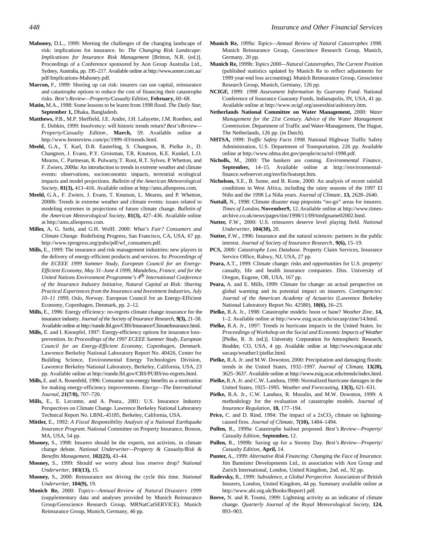- **Mahoney,** D.L., 1999: Meeting the challenges of the changing landscape of risk: implications for insurance. In: *The Changing Risk Landscape: Implications for Insurance Risk Management* [Britton, N.R. (ed.)]. Proceedings of a Conference sponsored by Aon Group Australia Ltd., Sydney, Australia, pp. 195–217. Available online at http://www.aonre.com.au/ pdf/Implications-Mahoney.pdf.
- **Marcon,** F., 1999: Shoring up cat risk: insurers can use capital, reinsurance and catastrophe options to reduce the cost of financing their catastrophe risks. *Best's Review—Property/Casualty Edition*, **February,** 60–68.
- **Matin,** M.A., 1998: Some lessons to be learnt from 1998 flood. *The Daily Star*, **September 1,** Dhaka, Bangladesh.
- **Matthews,** P.B., M.P. Sheffield, J.E. Andre, J.H. Lafayette, J.M. Roethen, and E. Dobkin, 1999: Insolvency: will historic trends return? *Best's Review— Property/Casualty Edition*, March, 59. Available online at http://www.bestreview.com/pc/1999–03/trends.html.
- **Meehl,** G.A., T. Karl, D.R. Easterling, S. Changnon, R. Pielke Jr., D. Changnon, J. Evans, P.Y. Groisman, T.R. Knutson, K.E. Kunkel, L.O. Mearns, C. Parmesan, R. Pulwarty,T. Root, R.T. Sylves, P. Whetton, and F. Zwiers, 2000a: An introduction to trends in extreme weather and climate events: observations, socioeconomic impacts, terrestrial ecological impacts and model projections. *Bulletin of the American Meteorological Society*, **81(3),** 413–416. Available online at http://ams.allenpress.com.
- **Meehl,** G.A., F. Zwiers, J. Evans, T. Knutson, L. Mearns, and P. Whetton, 2000b: Trends in extreme weather and climate events: issues related to modeling extremes in projections of future climate change. *Bulletin of the American Meteorological Society*, **81(3),** 427–436. Available online at http://ams.allenpress.com.
- **Miller,** A, G. Sethi, and G.H. Wolff. 2000: *What's Fair? Consumers and Climate Change.* Redefining Progress, San Francisco, CA, USA, 67 pp. http://www.rprogress.org/pubs/pdf/wf\_consumers.pdf.
- **Mills,** E., 1999: The insurance and risk management industries: new players in the delivery of energy-efficient products and services. In: *Proceedings of the ECEEE 1999 Summer Study, European Council for an Energy-Efficient Economy, May 31–June 4 1999, Mandelieu, France, and for the United Nations Environment Programme's 4th International Conference of the Insurance Industry Initiative, Natural Capital at Risk: Sharing Practical Experiences from the Insurance and Investment Industries, July 10–11 1999, Oslo, Norway*. European Council for an Energy-Efficient Economy, Copenhagen, Denmark, pp. 2–12.
- **Mills,** E., 1996: Energy efficiency: no-regrets climate change insurance for the insurance industry. *Journal of the Society of Insurance Research*, 9(3), 21-58. Available online at http://eande.lbl.gov/CBS/Insurance/ClimateInsurance.html.
- Mills, E. and I. Knoepfel, 1997: Energy-efficiency options for insurance lossprevention. In: Proceedings of the 1997 ECEEE Summer Study, European *Council for an Energy-Efficient Economy, Copenhagen, Denmark*. Lawrence Berkeley National Laboratory Report No. 40426, Center for Building Science, Environmental Energy Technologies Division, Lawrence Berkeley National Laboratory, Berkeley, California, USA, 23 pp. Available online at http://eande.lbl.gov/CBS/PUBS/no-regrets.html.
- Mills, E. and A. Rosenfeld, 1996: Consumer non-energy benefits as a motivation for making energy-efficiency improvements. *Energy—The International Journal*, **21(7/8),** 707–720.
- Mills, E., E. Lecomte, and A. Peara., 2001: U.S. Insurance Industry Perspectives on Climate Change. Lawrence Berkeley National Laboratory Technical Report No. LBNL-45185, Berkeley, California, USA.
- **Mittler,** E., 1992: *A Fiscal Responsibility Analysis of a National Earthquake Insurance Program*. National Committee on Property Insurance, Boston, MA, USA, 54 pp.
- **Mooney,** S., 1998: Insurers should be the experts, not activists, in climate change debate. *National Underwriter—Property & Casualty/Risk & Benefits Management*, **102(23),** 43–44.
- **Mooney,** S., 1999: Should we worry about loss reserve drop? *National Underwriter*, **103(13),** 15.
- **Mooney,** S., 2000: Reinsurance not driving the cycle this time. *National Underwriter*, **104(9),** 19.
- **Munich Re,** 2000: *Topics—Annual Review of Natural Disasters 1999* (supplementary data and analyses provided by Munich Reinsurance Group/Geoscience Research Group, MRNatCatSERVICE). Munich Reinsurance Group, Munich, Germany, 46 pp.
- **Munich Re,** 1999a: *Topics—Annual Review of Natural Catastrophes 1998.* Munich Reinsurance Group, Geoscience Research Group, Munich, Germany, 20 pp.
- **Munich Re,** 1999b: *Topics 2000—Natural Catastrophes, The Current Position* (published statistics updated by Munich Re to reflect adjustments for 1999 year-end loss accounting)*.* Munich Reinsurance Group, Geoscience Research Group, Munich, Germany, 126 pp.
- **NCIGF,** 1999: *1998 Assessment Information by Guaranty Fund*. National Conference of Insurance Guaranty Funds, Indianapolis, IN, USA, 41 pp. Available online at http://www.ncigf.org/assesshist/ashistory.htm.
- **Netherlands National Committee on Water Management,** 2000: *Water Management for the 21st Century. Advice of the Water Management Commission.* Department of Traffic and Water-Management, The Hague, The Netherlands, 126 pp. (in Dutch).
- **NHTSA,** 1999: *Traffic Safety Facts 1998*. National Highway Traffic Safety Administration, U.S. Department of Transportation, 226 pp. Available online at http://www.nhtsa.dot.gov/people/ncsa/tsf-1998.pdf.
- Nicholls, M., 2000: The bankers are coming. *Environmental Finance*, September, 14-15. Available online at http://environmentalfinance.webserver.org/envfin/featsept.htm.
- **Nicholson,** S.E., B. Some, and B. Kone, 2000: An analysis of recent rainfall conditions in West Africa, including the rainy seasons of the 1997 El Niño and the 1998 La Niña years. *Journal of Climate*, **13,** 2628–2640.
- **Nuttall,** N., 1998: Climate disaster map pinpoints "no-go" areas for insurers. *Times of London*, **November9,** 12. Available online at http://www.timesarchive.co.uk/news/pages/tim/1998/11/09/timfgname02002.html.
- **Nutter,** F.W., 2000: U.S. reinsurers deserve level playing field. *National Underwriter*, **104(30),** 20.
- **Nutter,** F.W., 1996: Insurance and the natural sciences: partners in the public interest. *Journal of Society of Insurance Research*, **9(6),** 15–19.
- **PCS,** 2000: *Catastrophe Loss Database*. Property Claim Services, Insurance Service Office, Rahwy, NJ, USA, 27 pp.
- **Peara,** A.T., 1999: Climate change: risks and opportunities for U.S. property/ casualty, life and health insurance companies. Diss. University of Oregon, Eugene, OR, USA, 167 pp.
- **Peara,** A. and E. Mills, 1999: Climate for change: an actual perspective on global warming and its potential impact on insurers. *Contingencies: Journal of the American Academy of Actuaries* (Lawrence Berkeley National Laboratory Report No. 42580), **10(6),** 16–23.
- **Pielke,** R.A. Jr., 1998: Catastrophe models: boon or bane? *Weather Zine*, **14,** 1–2. Available online at http://www.esig.ucar.edu/socasp/zine/14.html.
- **Pielke,** R.A. Jr., 1997: Trends in hurricane impacts in the United States. In: *Proceedings of Workshop on the Social and Economic Impacts of Weather* [Pielke, R. Jr. (ed.)]. University Corporation for Atmospheric Research, Boulder, CO, USA, 4 pp. Available online at http://www.esig.ucar.edu/ socasp/weather1/pielke.html.
- **Pielke,** R.A. Jr. and M.W. Downton, 2000: Precipitation and damaging floods: trends in the United States, 1932-1997. *Journal of Climate*, 13(20), 3625-3637. Available online at http://www.esig.ucar.edu/trends/index.html.
- **Pielke,** R.A. Jr. and C.W. Landsea, 1998: Normalized hurricane damages in the United States, 1925–1995. *Weather and Forecasting*, **13(3),** 621–631.
- **Pielke,** R.A. Jr., C.W. Landsea, R. Musulin, and M.W. Downton, 1999: A methodology for the evaluation of catastrophe models. *Journal of Insurance Regulation*, **18,** 177–194.
- **Price,** C. and D. Rind, 1994: The impact of a  $2xCO_2$  climate on lightningcaused fires. *Journal of Climate*, **7(10),** 1484–1494.
- **Pullen,** R., 1999a: Catastrophe bailout proposed. *Best's Review—Property/ Casualty Edition*, **September,** 12.
- **Pullen,** R., 1999b: Saving up for a Stormy Day. *Best's Review—Property/ Casualty Edition*, **April,** 14.
- Punter, A., 1999: *Alternative Risk Financing: Changing the Face of Insurance*. Jim Bannister Developments Ltd., in association with Aon Group and Zurich International, London, United Kingdom, 2nd. ed., 92 pp.
- **Radevsky,** R., 1999: *Subsidence, a Global Perspective.* Association of British Insurers, London, United Kingdom, 44 pp. Summary available online at http://www.abi.org.uk/Books/Report1.pdf.
- **Reeve,** N. and R. Toumi, 1999: Lightning activity as an indicator of climate change*. Quarterly Journal of the Royal Meteorological Society*, **124,** 893–903.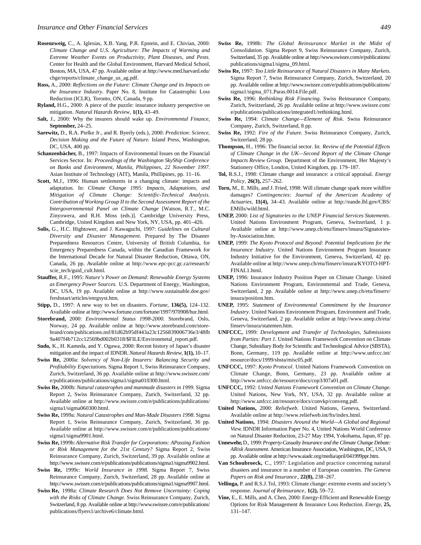- **Rosenzweig,** C., A. Iglesias, X.B. Yang, P.R. Epstein, and E. Chivian, 2000: *Climate Change and U.S. Agriculture: The Impacts of Warming and Extreme Weather Events on Productivity, Plant Diseases, and Pests.* Center for Health and the Global Environment, Harvard Medical School, Boston, MA, USA, 47 pp. Available online at http://www.med.harvard.edu/ chge/reports/climate\_change\_us\_ag.pdf.
- **Ross,** A., 2000: *Reflections on the Future: Climate Change and its Impacts on the Insurance Industry*. Paper No. 8, Institute for Catastrophic Loss Reduction (ICLR), Toronto, ON, Canada, 9 pp.
- **Ryland,** H.G., 2000: A piece of the puzzle: insurance industry perspective on mitigation. *Natural Hazards Review*, **1(1),** 43–49.
- **Salt,** J., 2000: Why the insurers should wake up. *Environmental Finance*, **September,** 24–25.
- **Sarewitz,** D., R.A. Pielke Jr., and R. Byerly (eds.), 2000: *Prediction: Science, Decision Making and the Future of Nature.* Island Press, Washington, DC, USA, 400 pp.
- **Schanzenbächer,** B., 1997: Impacts of Environmental Issues on the Financial Services Sector. In: *Proceedings of the Washington SkyShip Conference on Banks and Environment, Manila, Philippines, 22 November 1997*. Asian Institute of Technology (AIT), Manila, Phillipines, pp. 11–16.
- **Scott,** M.J., 1996: Human settlements in a changing climate: impacts and adaptation. In: *Climate Change 1995: Impacts, Adaptations, and Mitigation of Climate Change: Scientific-Technical Analysis. Contribution of Working Group II to the Second Assessment Report of the Intergovernnmental Panel on Climate Change* [Watson, R.T., M.C. Zinyowera, and R.H. Moss (eds.)]. Cambridge University Press, Cambridge, United Kingdom and New York, NY, USA, pp. 401–426.
- **Solis,** G., H.C. Hightower, and J. Kawaguchi, 1997: *Guidelines on Cultural Diversity and Disaster Management.* Prepared by The Disaster Preparedness Resources Centre, University of British Columbia, for Emergency Preparedness Canada, within the Canadian Framework for the International Decade for Natural Disaster Reduction, Ottawa, ON, Canada, 26 pp. Available online at http://www.epc-pcc.gc.ca/research/ scie\_tech/guid\_cult.html.
- **Stauffer,** R.F., 1995: *Nature's Power on Demand: Renewable Energy Systems as Emergency Power Sources.* U.S. Department of Energy, Washington, DC, USA, 19 pp. Available online at http://www.sustainable.doe.gov/ freshstart/articles/enrgsyst.htm.
- **Stipp,** D., 1997: A new way to bet on disasters. *Fortune*, **136(5),** 124–132. Available online at http://www.fortune.com/fortune/1997/970908/hur.html.
- Storebrand, 2000: *Environmental Status 1998-2000*. Storebrand, Oslo, Norway, 24 pp. Available online at http://www.storebrand.com/storebrand/com/publications.nsf/81d62b95df443a23c1256839006736e3/48fb 9a407f4b712cc12569bd002b0318/\$FILE/Environmetal\_report.pdf.
- **Sudo, K., H. Kameda, and Y. Ogawa, 2000: Recent history of Japan's disaster** mitigation and the impact of IDNDR. *Natural Hazards Review*, 1(1), 10-17.
- **Swiss Re,** 2000a: *Solvency of Non-Life Insurers: Balancing Security and P rofitability Expectations*. Sigma Report 1, Swiss Reinsurance Company, Zurich, Switzerland, 36 pp. Available online at http://www.swissre.com/ e/publications/publications/sigma1/sigma010300.html.
- **Swiss Re,** 2000b: *Natural catastrophes and manmade disasters in 1999.* Sigma Report 2, Swiss Reinsurance Company, Zurich, Switzerland, 32 pp. Available online at http://www.swissre.com/e/publications/publications/ sigma1/sigma060300.html.
- **Swiss Re,** 1999a: *Natural Catastrophes and Man-Made Disasters 1998.* Sigma Report 1, Swiss Reinsurance Company, Zurich, Switzerland, 36 pp. Available online at http://www.swissre.com/e/publications/publications/ sigma1/sigma9901.html.
- **Swiss Re,**1999b: *Alternative Risk Transfer for Corporations: APassing Fashion or Risk Management for the 21st Century?* Sigma Report 2, Swiss Reinsurance Company, Zurich, Switzerland, 39 pp. Available online at http://www.swissre.com/e/publications/publications/sigma1/sigma9902.html.
- **Swiss Re,** 1999c: *World Insurance in 1998.* Sigma Report 7, Swiss Reinsurance Company, Zurich, Switzerland, 28 pp. Available online at http://www.swissre.com/e/publications/publications/sigma1/sigma9907.html.
- **Swiss Re,** 1998a: *Climate Research Does Not Remove Uncertainty: Coping with the Risks of Climate Change.* Swiss Reinsurance Company, Zurich, Switzerland, 8 pp. Available online at http://www.swissre.com/e/publications/ publications/flyers1/archive6/climate.html.
- **Swiss Re,** 1998b: *The Global Reinsurance Market in the Midst of Consolidation.* Sigma Report 9, Swiss Reinsurance Company, Zurich, Switzerland, 35 pp. Available online at http://www.swissre.com/e/publications/ publications/sigma1/sigma\_09.html.
- **Swiss Re,** 1997: *Too Little Reinsurance of Natural Disasters in Many Markets.* Sigma Report 7, Swiss Reinsurance Company, Zurich, Switzerland, 20 pp. Available online at http://www.swissre.com/e/publications/publications/ sigma1/sigma\_071.Paras.0014.File.pdf.
- **Swiss Re,** 1996: *Rethinking Risk Financing.* Swiss Reinsurance Company, Zurich, Switzerland, 26 pp. Available online at http://www.swissre.com/ e/publications/publications/integrated1/rethinking.html.
- **Swiss Re,** 1994: *Climate Change—Element of Risk.* Swiss Reinsurance Company, Zurich, Switzerland, 8 pp.
- **Swiss Re,** 1992: *Fire of the Future*. Swiss Reinsurance Company, Zurich, Switzerland, 28 pp.
- **Thompson,** H., 1996: The financial sector. In: *Review of the Potential Effects of Climate Change in the UK—Second Report of the Climate Change Impacts Review Group.* Department of the Environment, Her Majesty's Stationery Office, London, United Kingdom, pp. 179–187.
- **Tol,** R.S.J., 1998: Climate change and insurance: a critical appraisal. *Energy Policy*, **26(3),** 257–262.
- Torn, M., E. Mills, and J. Fried, 1998: Will climate change spark more wildfire damages? *Contingencies: Journal of the American Academy of Actuaries*, **11(4),** 34–43. Available online at http://eande.lbl.gov/CBS/ EMills/wild.html.
- **UNEP,** 2000: *List of Signatories to the UNEP Financial Services Statements*. United Nations Environment Program, Geneva, Switzerland, 1 p. Available online at http://www.unep.ch/etu/finserv/insura/Signatoriesby-Association.htm.
- **UNEP,** 1999: *The Kyoto Protocol and Beyond: Potential Implications for the Insurance Industry*. United Nations Environment Program Insurance Industry Initiative for the Environment, Geneva, Switzerland, 42 pp. Available online at http://www.unep.ch/etu/finserv/insura/KYOTO-HPT-FINAL1.html.
- **UNEP,** 1996: Insurance Industry Position Paper on Climate Change. United Nations Environment Program, Environmental and Trade, Geneva, Switzerland, 2 pp. Available online at http://www.unep.ch/etu/finserv/ insura/position.htm.
- **UNEP,** 1995: *Statement of Environmental Commitment by the Insurance Industry*. United Nations Environment Program, Environment and Trade, Geneva, Switzerland, 2 pp. Available online at http://www.unep.ch/etu/ finserv/insura/statemen.htm.
- **UNFCCC,** 1999: *Development and Transfer of Technologies, Submissions from Parties: Part 1*. United Nations Framework Convention on Climate Change, Subsidiary Body for Scientific and Technological Advice (SBSTA), Bonn, Germany, 119 pp. Available online at http://www.unfccc.int/ resource/docs/1999/sbsta/misc05.pdf.
- **UNFCCC,** 1997: *Kyoto Protocol*. United Nations Framework Convention on Climate Change, Bonn, Germany, 23 pp. Available online at http://www.unfccc.de/resource/docs/cop3/l07a01.pdf.
- **UNFCCC,** 1992: *United Nations Framework Convention on Climate Change*. United Nations, New York, NY, USA, 32 pp. Available online at http://www.unfccc.int/resource/docs/convkp/conveng.pdf.
- **United Nations,** 2000: *Reliefweb*. United Nations, Geneva, Switzerland. Available online at http://www.reliefweb.int/fts/index.html.
- **United Nations,** 1994: *Disasters Around the World*—A *Global and Regional* View. IDNDR Information Paper No. 4, United Nations World Conference on Natural Disaster Reduction, 23-27 May 1994, Yokohama, Japan, 87 pp.
- Unnewehr, D., 1999: Property-Casualty Insurance and the Climate Change Debate: *ARisk Assessment.* American Insurance Association, Washington, DC, USA, 9 pp. Available online at http://www.aiadc.org/media/april/041999ppr.htm.
- **Van Schoubroeck, C., 1997: Legislation and practice concerning natural** disasters and insurance in a number of European countries. The Geneva *Papers on Risk and Insurance* , **22(8),** 238–267.
- **Vellinga,** P. and R.S.J. Tol, 1993: Climate change: extreme events and society's response. *Journal of Reinsurance*, **1(2),** 59–72.
- **Vine,** E., E. Mills, and A. Chen, 2000: Energy-Efficient and Renewable Energy Options for Risk Management & Insurance Loss Reduction. *Energy*, **25,** 131–147.